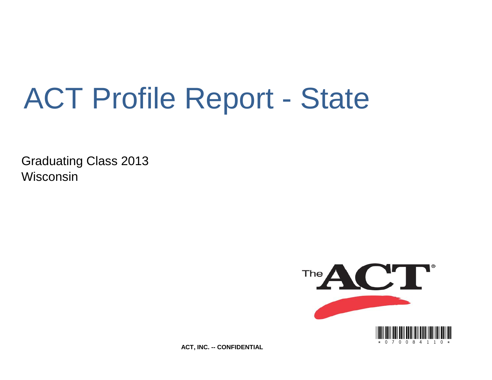# ACT Profile Report - State

Graduating Class 2013 Wisconsin



**ACT, INC. -- CONFIDENTIAL**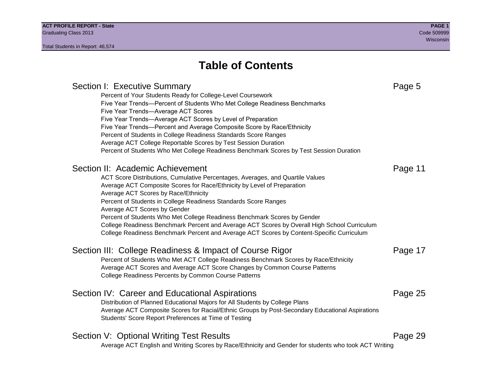## **Table of Contents**

### Section I: Executive Summary **Page 5** and the section I: Executive Summary Percent of Your Students Ready for College-Level Coursework Five Year Trends—Percent of Students Who Met College Readiness Benchmarks Five Year Trends—Average ACT Scores Five Year Trends—Average ACT Scores by Level of Preparation Five Year Trends—Percent and Average Composite Score by Race/Ethnicity Percent of Students in College Readiness Standards Score Ranges Average ACT College Reportable Scores by Test Session Duration Percent of Students Who Met College Readiness Benchmark Scores by Test Session Duration Section II: Academic Achievement **Page 11** Page 11 ACT Score Distributions, Cumulative Percentages, Averages, and Quartile Values Average ACT Composite Scores for Race/Ethnicity by Level of Preparation Average ACT Scores by Race/Ethnicity Percent of Students in College Readiness Standards Score Ranges Average ACT Scores by Gender Percent of Students Who Met College Readiness Benchmark Scores by Gender College Readiness Benchmark Percent and Average ACT Scores by Overall High School Curriculum College Readiness Benchmark Percent and Average ACT Scores by Content-Specific Curriculum Section III: College Readiness & Impact of Course Rigor Page 17 Percent of Students Who Met ACT College Readiness Benchmark Scores by Race/Ethnicity Average ACT Scores and Average ACT Score Changes by Common Course Patterns College Readiness Percents by Common Course Patterns Section IV: Career and Educational Aspirations **Page 25** Page 25 Distribution of Planned Educational Majors for All Students by College Plans Average ACT Composite Scores for Racial/Ethnic Groups by Post-Secondary Educational Aspirations Students' Score Report Preferences at Time of Testing Section V: Optional Writing Test Results **Page 29** Page 29 Average ACT English and Writing Scores by Race/Ethnicity and Gender for students who took ACT Writing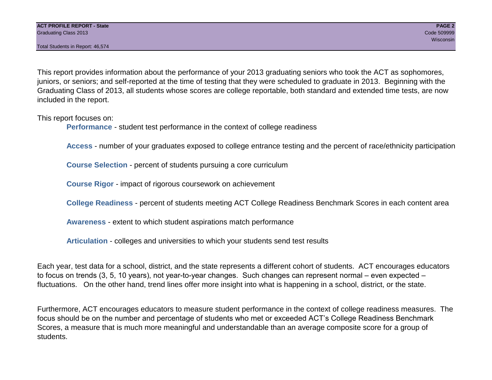Total Students in Report: 46,574

This report provides information about the performance of your 2013 graduating seniors who took the ACT as sophomores, juniors, or seniors; and self-reported at the time of testing that they were scheduled to graduate in 2013. Beginning with the Graduating Class of 2013, all students whose scores are college reportable, both standard and extended time tests, are now included in the report.

This report focuses on:

**Performance** - student test performance in the context of college readiness

**Access** - number of your graduates exposed to college entrance testing and the percent of race/ethnicity participation

**Course Selection** - percent of students pursuing a core curriculum

**Course Rigor** - impact of rigorous coursework on achievement

**College Readiness** - percent of students meeting ACT College Readiness Benchmark Scores in each content area

**Awareness** - extent to which student aspirations match performance

**Articulation** - colleges and universities to which your students send test results

Each year, test data for a school, district, and the state represents a different cohort of students. ACT encourages educators to focus on trends (3, 5, 10 years), not year-to-year changes. Such changes can represent normal – even expected – fluctuations. On the other hand, trend lines offer more insight into what is happening in a school, district, or the state.

Furthermore, ACT encourages educators to measure student performance in the context of college readiness measures. The focus should be on the number and percentage of students who met or exceeded ACT's College Readiness Benchmark Scores, a measure that is much more meaningful and understandable than an average composite score for a group of students.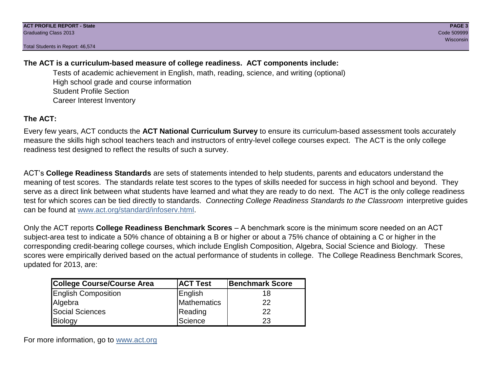Total Students in Report: 46,574

### **The ACT is a curriculum-based measure of college readiness. ACT components include:**

Tests of academic achievement in English, math, reading, science, and writing (optional) High school grade and course information Student Profile Section Career Interest Inventory

### **The ACT:**

Every few years, ACT conducts the **ACT National Curriculum Survey** to ensure its curriculum-based assessment tools accurately measure the skills high school teachers teach and instructors of entry-level college courses expect. The ACT is the only college readiness test designed to reflect the results of such a survey.

ACT's **College Readiness Standards** are sets of statements intended to help students, parents and educators understand the meaning of test scores. The standards relate test scores to the types of skills needed for success in high school and beyond. They serve as a direct link between what students have learned and what they are ready to do next. The ACT is the only college readiness test for which scores can be tied directly to standards. *Connecting College Readiness Standards to the Classroom* interpretive guides can be found at www.act.org/standard/infoserv.html.

Only the ACT reports **College Readiness Benchmark Scores** – A benchmark score is the minimum score needed on an ACT subject-area test to indicate a 50% chance of obtaining a B or higher or about a 75% chance of obtaining a C or higher in the corresponding credit-bearing college courses, which include English Composition, Algebra, Social Science and Biology. These scores were empirically derived based on the actual performance of students in college. The College Readiness Benchmark Scores, updated for 2013, are:

| College Course/Course Area | <b>ACT Test</b> | <b>Benchmark Score</b> |
|----------------------------|-----------------|------------------------|
| <b>English Composition</b> | English         | 18                     |
| Algebra                    | Mathematics     | 22                     |
| <b>Social Sciences</b>     | Reading         | 22                     |
| Biology                    | Science         | 23                     |

For more information, go to www.act.org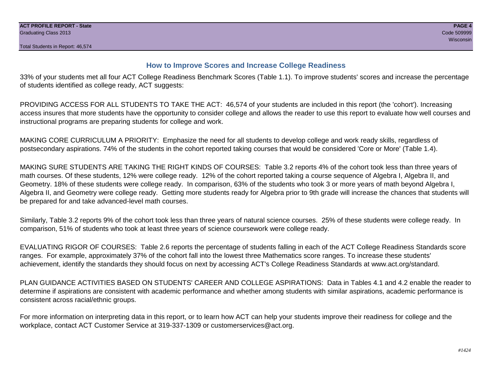#### **How to Improve Scores and Increase College Readiness**

33% of your students met all four ACT College Readiness Benchmark Scores (Table 1.1). To improve students' scores and increase the percentage of students identified as college ready, ACT suggests:

PROVIDING ACCESS FOR ALL STUDENTS TO TAKE THE ACT: 46,574 of your students are included in this report (the 'cohort'). Increasing access insures that more students have the opportunity to consider college and allows the reader to use this report to evaluate how well courses and instructional programs are preparing students for college and work.

MAKING CORE CURRICULUM A PRIORITY: Emphasize the need for all students to develop college and work ready skills, regardless of postsecondary aspirations. 74% of the students in the cohort reported taking courses that would be considered 'Core or More' (Table 1.4).

MAKING SURE STUDENTS ARE TAKING THE RIGHT KINDS OF COURSES: Table 3.2 reports 4% of the cohort took less than three years of math courses. Of these students, 12% were college ready. 12% of the cohort reported taking a course sequence of Algebra I, Algebra II, and Geometry. 18% of these students were college ready. In comparison, 63% of the students who took 3 or more years of math beyond Algebra I, Algebra II, and Geometry were college ready. Getting more students ready for Algebra prior to 9th grade will increase the chances that students will be prepared for and take advanced-level math courses.

Similarly, Table 3.2 reports 9% of the cohort took less than three years of natural science courses. 25% of these students were college ready. In comparison, 51% of students who took at least three years of science coursework were college ready.

EVALUATING RIGOR OF COURSES: Table 2.6 reports the percentage of students falling in each of the ACT College Readiness Standards score ranges. For example, approximately 37% of the cohort fall into the lowest three Mathematics score ranges. To increase these students' achievement, identify the standards they should focus on next by accessing ACT's College Readiness Standards at www.act.org/standard.

PLAN GUIDANCE ACTIVITIES BASED ON STUDENTS' CAREER AND COLLEGE ASPIRATIONS: Data in Tables 4.1 and 4.2 enable the reader to determine if aspirations are consistent with academic performance and whether among students with similar aspirations, academic performance is consistent across racial/ethnic groups.

For more information on interpreting data in this report, or to learn how ACT can help your students improve their readiness for college and the workplace, contact ACT Customer Service at 319-337-1309 or customerservices@act.org.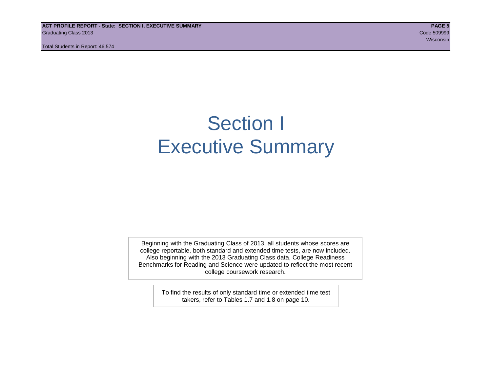**ACT PROFILE REPORT - State: SECTION I, EXECUTIVE SUMMARY PAGE 5** Graduating Class 2013 Code 509999

Total Students in Report: 46,574

wisconsin and the contract of the contract of the contract of the contract of the contract of the consintent of the

## Section I Executive Summary

Beginning with the Graduating Class of 2013, all students whose scores are college reportable, both standard and extended time tests, are now included. Also beginning with the 2013 Graduating Class data, College Readiness Benchmarks for Reading and Science were updated to reflect the most recent college coursework research.

> To find the results of only standard time or extended time test takers, refer to Tables 1.7 and 1.8 on page 10.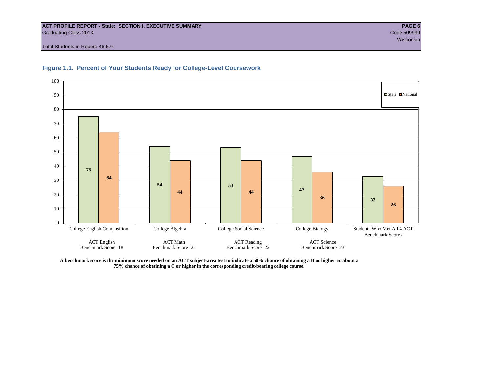#### **ACT PROFILE REPORT - State: SECTION I, EXECUTIVE SUMMARY PAGE 6** Graduating Class 2013 Code 509999

Total Students in Report: 46,574





**A benchmark score is the minimum score needed on an ACT subject-area test to indicate a 50% chance of obtaining a B or higher or about a 75% chance of obtaining a C or higher in the corresponding credit-bearing college course.**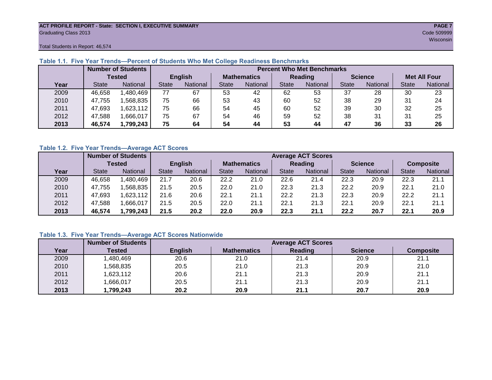#### **ACT PROFILE REPORT - State: SECTION I, EXECUTIVE SUMMARY PAGE 7** Graduating Class 2013 Code 509999

Total Students in Report: 46,574

|      |              | <b>Number of Students</b><br><b>Percent Who Met Benchmarks</b> |                |          |                    |          |                |          |                |          |                     |          |
|------|--------------|----------------------------------------------------------------|----------------|----------|--------------------|----------|----------------|----------|----------------|----------|---------------------|----------|
|      |              | <b>Tested</b>                                                  | <b>English</b> |          | <b>Mathematics</b> |          | <b>Reading</b> |          | <b>Science</b> |          | <b>Met All Four</b> |          |
| Year | <b>State</b> | <b>National</b>                                                | <b>State</b>   | National | State              | National | <b>State</b>   | National | <b>State</b>   | National | <b>State</b>        | National |
| 2009 | 46,658       | ,480,469                                                       | 77             | 67       | 53                 | 42       | 62             | 53       | 37             | 28       | 30                  | 23       |
| 2010 | 47.755       | .568.835                                                       | 75             | 66       | 53                 | 43       | 60             | 52       | 38             | 29       | 31                  | 24       |
| 2011 | 47,693       | 623,112                                                        | 75             | 66       | 54                 | 45       | 60             | 52       | 39             | 30       | 32                  | 25       |
| 2012 | 47,588       | .666,017                                                       | 75             | 67       | 54                 | 46       | 59             | 52       | 38             | 31       | 31                  | 25       |
| 2013 | 46,574       | 1,799,243                                                      | 75             | 64       | 54                 | 44       | 53             | 44       | 47             | 36       | 33                  | 26       |

#### **Table 1.1. Five Year Trends—Percent of Students Who Met College Readiness Benchmarks**

#### **Table 1.2. Five Year Trends—Average ACT Scores**

|      |              | <b>Number of Students</b> |                |          |                    | <b>Average ACT Scores</b> |                |          |                |          |                  |          |  |  |
|------|--------------|---------------------------|----------------|----------|--------------------|---------------------------|----------------|----------|----------------|----------|------------------|----------|--|--|
|      |              | Tested                    | <b>English</b> |          | <b>Mathematics</b> |                           | <b>Reading</b> |          | <b>Science</b> |          | <b>Composite</b> |          |  |  |
| Year | <b>State</b> | <b>National</b>           | <b>State</b>   | National | <b>State</b>       | National                  | <b>State</b>   | National | <b>State</b>   | National | <b>State</b>     | National |  |  |
| 2009 | 46.658       | .480.469                  | 21.7           | 20.6     | 22.2               | 21.0                      | 22.6           | 21.4     | 22.3           | 20.9     | 22.3             | 21.1     |  |  |
| 2010 | 47.755       | .568.835                  | 21.5           | 20.5     | 22.0               | 21.0                      | 22.3           | 21.3     | 22.2           | 20.9     | 22.1             | 21.0     |  |  |
| 2011 | 47,693       | .623,112                  | 21.6           | 20.6     | 22.1               | 21.1                      | 22.2           | 21.3     | 22.3           | 20.9     | 22.2             | 21.1     |  |  |
| 2012 | 47,588       | .666,017                  | 21.5           | 20.5     | 22.0               | 21.1                      | 22.7           | 21.3     | 22.1           | 20.9     | 22.1             | 21.1     |  |  |
| 2013 | 46,574       | 1,799,243                 | 21.5           | 20.2     | 22.0               | 20.9                      | 22.3           | 21.1     | 22.2           | 20.7     | 22.1             | 20.9     |  |  |

#### **Table 1.3. Five Year Trends—Average ACT Scores Nationwide**

|      | <b>Number of Students</b> |                | <b>Average ACT Scores</b> |         |                |                  |  |  |  |  |  |
|------|---------------------------|----------------|---------------------------|---------|----------------|------------------|--|--|--|--|--|
| Year | Tested                    | <b>English</b> | <b>Mathematics</b>        | Reading | <b>Science</b> | <b>Composite</b> |  |  |  |  |  |
| 2009 | ,480,469                  | 20.6           | 21.0                      | 21.4    | 20.9           | 21.1             |  |  |  |  |  |
| 2010 | ,568,835                  | 20.5           | 21.0                      | 21.3    | 20.9           | 21.0             |  |  |  |  |  |
| 2011 | ,623,112                  | 20.6           | 21.1                      | 21.3    | 20.9           | 21.1             |  |  |  |  |  |
| 2012 | ,666,017                  | 20.5           | 21.1                      | 21.3    | 20.9           | 21.1             |  |  |  |  |  |
| 2013 | ,799,243                  | 20.2           | 20.9                      | 21.1    | 20.7           | 20.9             |  |  |  |  |  |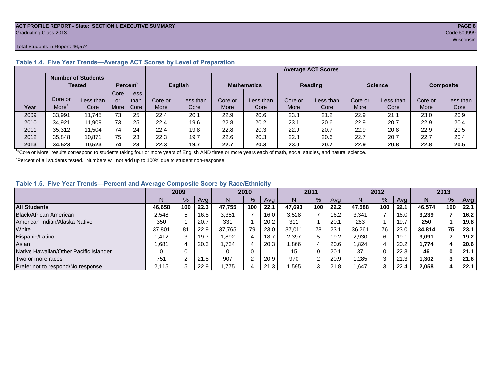#### **ACT PROFILE REPORT - State: SECTION I, EXECUTIVE SUMMARY PAGE 8** Graduating Class 2013 Code 509999

#### Total Students in Report: 46,574

|      |         |                                     |      |                      |                |           |                    |           |                | <b>Average ACT Scores</b> |                |           |                  |           |
|------|---------|-------------------------------------|------|----------------------|----------------|-----------|--------------------|-----------|----------------|---------------------------|----------------|-----------|------------------|-----------|
|      |         | <b>Number of Students</b><br>Tested |      | Percent <sup>2</sup> | <b>English</b> |           | <b>Mathematics</b> |           | <b>Reading</b> |                           | <b>Science</b> |           | <b>Composite</b> |           |
|      |         |                                     | Core | Less                 |                |           |                    |           |                |                           |                |           |                  |           |
|      | Core or | Less than                           | or   | than                 | Core or        | Less than | Core or            | Less than | Core or        | Less than                 | Core or        | Less than | Core or          | Less than |
| Year | More    | Core                                | More | Core                 | More           | Core      | More               | Core      | More           | Core                      | More           | Core      | More             | Core      |
| 2009 | 33,991  | 11.745                              | 73   | 25                   | 22.4           | 20.1      | 22.9               | 20.6      | 23.3           | 21.2                      | 22.9           | 21.1      | 23.0             | 20.9      |
| 2010 | 34,921  | 11.909                              | 73   | 25                   | 22.4           | 19.6      | 22.8               | 20.2      | 23.1           | 20.6                      | 22.9           | 20.7      | 22.9             | 20.4      |
| 2011 | 35,312  | 11.504                              | 74   | 24                   | 22.4           | 19.8      | 22.8               | 20.3      | 22.9           | 20.7                      | 22.9           | 20.8      | 22.9             | 20.5      |
| 2012 | 35,848  | 10.871                              | 75   | 23                   | 22.3           | 19.7      | 22.6               | 20.3      | 22.8           | 20.6                      | 22.7           | 20.7      | 22.7             | 20.4      |
| 2013 | 34.523  | 10.523                              | 74   | 23                   | 22.3           | 19.7      | 22.7               | 20.3      | 23.0           | 20.7                      | 22.9           | 20.8      | 22.8             | 20.5      |

#### **Table 1.4. Five Year Trends—Average ACT Scores by Level of Preparation**

<sup>1</sup>"Core or More" results correspond to students taking four or more years of English AND three or more years each of math, social studies, and natural science.

 $2$ Percent of all students tested. Numbers will not add up to 100% due to student non-response.

#### **Table 1.5. Five Year Trends—Percent and Average Composite Score by Race/Ethnicity**

|                                        |        | 2009 |      |        | 2010          |      | 2011   |     | 2012 |        |     | 2013 |        |               |      |
|----------------------------------------|--------|------|------|--------|---------------|------|--------|-----|------|--------|-----|------|--------|---------------|------|
|                                        | N.     | $\%$ | Avg  | N      | $\frac{9}{6}$ | Avg  | N      | %   | Avg  | N      | %   | Ava  | N      | $\frac{9}{6}$ | Avg  |
| <b>All Students</b>                    | 46.658 | 100  | 22.3 | 47.755 | 100           | 22.1 | 47.693 | 100 | 22.2 | 47.588 | 100 | 22.1 | 46.574 | 100           | 22.1 |
| Black/African American                 | 2.548  |      | 16.8 | 3,351  |               | 16.0 | 3,528  |     | 16.2 | 3,341  |     | 16.0 | 3,239  |               | 16.2 |
| American Indian/Alaska Native          | 350    |      | 20.7 | 331    |               | 20.2 | 311    |     | 20.1 | 263    |     | 19.7 | 250    |               | 19.8 |
| White                                  | 37.801 | 81   | 22.9 | 37.765 | 79            | 23.0 | 37,011 | 78  | 23.1 | 36.261 | 76  | 23.0 | 34.814 | 75            | 23.1 |
| Hispanic/Latino                        | .412   |      | 19.7 | .892   | 4             | 18.7 | 2.397  | 5   | 19.2 | 2.930  | 6   | 19.1 | 3,091  |               | 19.2 |
| Asian                                  | .681   |      | 20.3 | .734.  | 4             | 20.3 | .866   | 4   | 20.6 | .824   | 4   | 20.2 | 1,774  | 4             | 20.6 |
| Native Hawaiian/Other Pacific Islander |        |      |      |        | 0             |      | 15     | 0   | 20.1 | 37     |     | 22.3 | 46     | 0             | 21.1 |
| Two or more races                      | 751    |      | 21.8 | 907    | $\sqrt{2}$    | 20.9 | 970    | ⌒   | 20.9 | ,285   | 3   | 21.3 | .302,  |               | 21.6 |
| Prefer not to respond/No response      | 2.115  |      | 22.9 | 1.775  | 4             | 21.3 | .595   | 3   | 21.8 | .647   | 3   | 22.4 | 2,058  |               | 22.1 |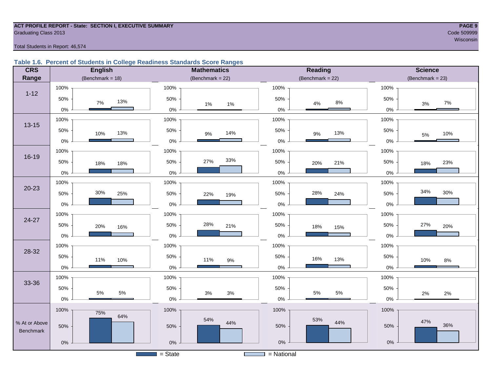#### **ACT PROFILE REPORT - State: SECTION I, EXECUTIVE SUMMARY PAGE 9** Code 509999 Craduating Class 2013

wisconsin<sup>n</sup> with the state of the state of the state of the state of the state of the state of the state of the state of the state of the state of the state of the state of the state of the state of the state of the state

Total Students in Report: 46,574

#### **Table 1.6. Percent of Students in College Readiness Standards Score Ranges**

| <b>CRS</b>       | <b>English</b>      | <b>Mathematics</b>                    | <b>Reading</b>      | <b>Science</b>       |
|------------------|---------------------|---------------------------------------|---------------------|----------------------|
| Range            | (Benchmark = $18$ ) | (Benchmark = $22$ )                   | (Benchmark = $22$ ) | (Benchmark = $23$ )  |
|                  | 100%                | 100%                                  | 100%                | 100%                 |
| $1 - 12$         | 50%<br>13%<br>7%    | 50%<br>$1\%$<br>$1\%$                 | 50%<br>$8\%$<br>4%  | 50%<br>$7\%$<br>$3%$ |
|                  | $0\%$               | $0\%$                                 | $0\%$               | $0\%$                |
|                  | 100%                | 100%                                  | 100%                | 100%                 |
| $13 - 15$        | 50%<br>13%<br>10%   | 50%<br>14%<br>$9\%$                   | 50%<br>13%<br>$9\%$ | 50%<br>10%<br>5%     |
|                  | $0\%$               | $0\%$                                 | $0\%$               | $0\%$                |
|                  | 100%                | 100%                                  | 100%                | 100%                 |
| $16 - 19$        | 50%<br>18%<br>18%   | 33%<br>27%<br>50%                     | 50%<br>21%<br>20%   | 50%<br>23%<br>18%    |
|                  | $0\%$               | $0\%$                                 | $0\%$               | $0\%$                |
|                  | 100%                | 100%                                  | 100%                | 100%                 |
| $20 - 23$        | 30%<br>50%<br>25%   | 50%<br>22%<br>19%                     | 28%<br>50%<br>24%   | 34%<br>30%<br>50%    |
|                  | $0\%$               | $0\%$                                 | $0\%$               | $0\%$                |
|                  | 100%                | 100%                                  | 100%                | 100%                 |
| 24-27            | 50%<br>20%<br>16%   | 28%<br>50%<br>21%                     | 50%<br>18%<br>15%   | 27%<br>50%<br>20%    |
|                  | 0%                  | $0\%$                                 | $0\%$               | 0%                   |
| 28-32            | 100%                | 100%                                  | 100%                | 100%                 |
|                  | 50%<br>11%<br>10%   | 50%<br>11%<br>$9\%$                   | 50%<br>16%<br>13%   | 50%<br>10%<br>$8\%$  |
|                  | $0\%$               | $0\%$                                 | $0\%$               | $0\%$                |
|                  | 100%                | 100%                                  | 100%                | 100%                 |
| 33-36            | 50%                 | 50%                                   | 50%                 | 50%                  |
|                  | 5%<br>5%<br>$0\%$   | $3\%$<br>3%<br>$0\%$                  | 5%<br>5%<br>$0\%$   | 2%<br>2%<br>$0\%$    |
|                  | 100%<br>75%         | 100%                                  | 100%                | 100%                 |
| % At or Above    | 64%                 | 54%<br>44%                            | 53%<br>44%          | 47%                  |
| <b>Benchmark</b> | 50%                 | 50%                                   | 50%                 | 36%<br>50%           |
|                  | $0\%$               | $0\%$                                 | $0\%$               | $0\%$                |
|                  |                     | $=$ State<br><b>Contract Contract</b> | $=$ National        |                      |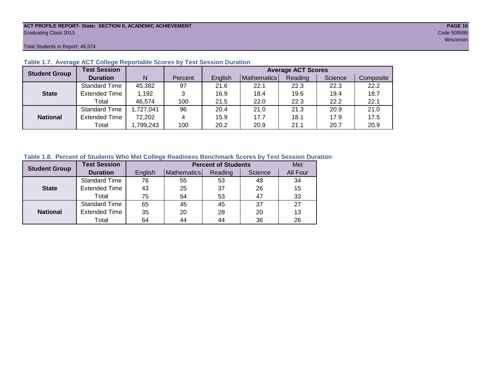#### **ACT PROFILE REPORT- State: SECTION II, ACADEMIC ACHIEVEMENT PAGE 10** Graduating Class 2013 Code 509999

Total Students in Report: 46,574

| <b>Student Group</b> | <b>Test Session</b>  |           |         | <b>Average ACT Scores</b> |             |         |         |           |  |  |  |
|----------------------|----------------------|-----------|---------|---------------------------|-------------|---------|---------|-----------|--|--|--|
|                      | <b>Duration</b>      | N         | Percent | English                   | Mathematics | Reading | Science | Composite |  |  |  |
|                      | <b>Standard Time</b> | 45,382    | 97      | 21.6                      | 22.1        | 22.3    | 22.3    | 22.2      |  |  |  |
| <b>State</b>         | <b>Extended Time</b> | 1,192     | 3       | 16.9                      | 18.4        | 19.6    | 19.4    | 18.7      |  |  |  |
|                      | Total                | 46,574    | 100     | 21.5                      | 22.0        | 22.3    | 22.2    | 22.1      |  |  |  |
|                      | <b>Standard Time</b> | 1,727,041 | 96      | 20.4                      | 21.0        | 21.3    | 20.9    | 21.0      |  |  |  |
| <b>National</b>      | <b>Extended Time</b> | 72,202    | 4       | 15.9                      | 17.7        | 18.1    | 17.9    | 17.5      |  |  |  |
|                      | Total                | ,799,243  | 100     | 20.2                      | 20.9        | 21.1    | 20.7    | 20.9      |  |  |  |

#### **Table 1.7. Average ACT College Reportable Scores by Test Session Duration**

#### **Table 1.8. Percent of Students Who Met College Readiness Benchmark Scores by Test Session Duration**

| <b>Student Group</b> | <b>Test Session</b>  |         | Met                |         |         |          |
|----------------------|----------------------|---------|--------------------|---------|---------|----------|
|                      | <b>Duration</b>      | English | <b>Mathematics</b> | Reading | Science | All Four |
|                      | Standard Time        | 76      | 55                 | 53      | 48      | 34       |
| <b>State</b>         | <b>Extended Time</b> | 43      | 25                 | 37      | 26      | 15       |
|                      | Total                | 75      | 54                 | 53      | 47      | 33       |
|                      | <b>Standard Time</b> | 65      | 45                 | 45      | 37      | 27       |
| <b>National</b>      | <b>Extended Time</b> | 35      | 20                 | 28      | 20      | 13       |
|                      | Total                | 64      | 44                 | 44      | 36      | 26       |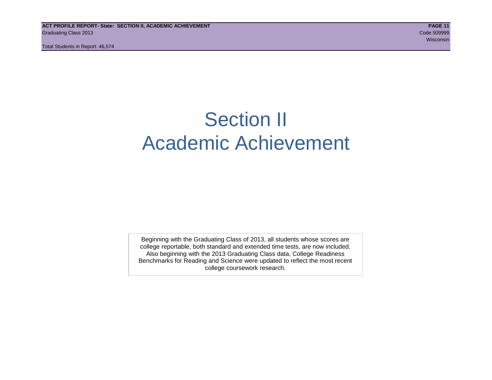## Section II Academic Achievement

Beginning with the Graduating Class of 2013, all students whose scores are college reportable, both standard and extended time tests, are now included. Also beginning with the 2013 Graduating Class data, College Readiness Benchmarks for Reading and Science were updated to reflect the most recent college coursework research.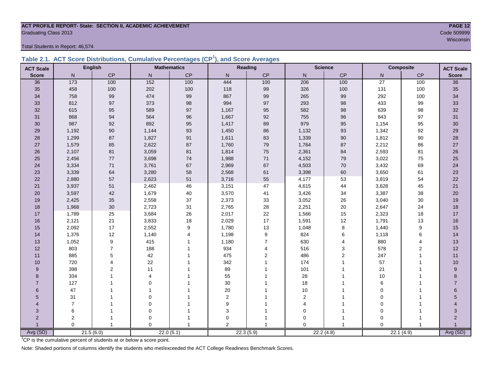### **ACT PROFILE REPORT- State: SECTION II, ACADEMIC ACHIEVEMENT PAGE 12** Graduating Class 2013 Code 509999

Total Students in Report: 46,574

|  | Table 2.1. ACT Score Distributions, Cumulative Percentages (CP <sup>1</sup> ), and Score Averages |  |  |  |
|--|---------------------------------------------------------------------------------------------------|--|--|--|
|  |                                                                                                   |  |  |  |

| <b>ACT Scale</b> |                | <b>English</b>   |                  | <b>Mathematics</b> |                  | Reading        |                | <b>Science</b> |                 | <b>Composite</b> | <b>ACT Scale</b> |
|------------------|----------------|------------------|------------------|--------------------|------------------|----------------|----------------|----------------|-----------------|------------------|------------------|
| <b>Score</b>     | N              | <b>CP</b>        | N                | CP                 | N                | CP             | N              | CP             | N               | CP               | <b>Score</b>     |
| 36               | 173            | 100              | $\overline{152}$ | 100                | 444              | 100            | 206            | 100            | $\overline{27}$ | 100              | $\overline{36}$  |
| 35               | 458            | 100              | 202              | 100                | 118              | 99             | 326            | 100            | 131             | 100              | 35               |
| 34               | 758            | 99               | 474              | 99                 | 867              | 99             | 265            | 99             | 292             | 100              | 34               |
| 33               | 812            | 97               | 373              | 98                 | 994              | 97             | 293            | 98             | 433             | 99               | 33               |
| 32               | 615            | 95               | 589              | 97                 | 1,167            | 95             | 582            | 98             | 639             | 98               | 32               |
| 31               | 868            | 94               | 564              | $96\,$             | 1,667            | 92             | 755            | 96             | 843             | 97               | 31               |
| 30               | 987            | 92               | 892              | 95                 | 1,417            | 89             | 979            | 95             | 1,154           | 95               | 30               |
| 29               | 1,192          | 90               | 1,144            | 93                 | 1,450            | 86             | 1,132          | 93             | 1,342           | 92               | 29               |
| 28               | 1,299          | 87               | 1,827            | 91                 | 1,611            | 83             | 1,339          | 90             | 1,812           | 90               | 28               |
| 27               | 1,579          | 85               | 2,622            | 87                 | 1,760            | 79             | 1,764          | 87             | 2,212           | 86               | 27               |
| 26               | 2,107          | 81               | 3,059            | 81                 | 1,814            | 75             | 2,361          | 84             | 2,593           | 81               | 26               |
| 25               | 2,456          | 77               | 3,698            | $74\,$             | 1,988            | 71             | 4,152          | 79             | 3,022           | 75               | 25               |
| 24               | 3,334          | 71               | 3,761            | 67                 | 2,969            | 67             | 4,503          | $70\,$         | 3,432           | 69               | 24               |
| 23               | 3,339          | 64               | 3,280            | 58                 | 2,568            | 61             | 3,398          | 60             | 3,650           | 61               | 23               |
| 22               | 2,880          | 57               | 2,623            | 51                 | 3,716            | 55             | 4,177          | 53             | 3,819           | 54               | 22               |
| 21               | 3,937          | 51               | 2,462            | 46                 | 3,151            | 47             | 4,615          | 44             | 3,628           | 45               | 21               |
| 20               | 3,597          | 42               | 1,679            | 40                 | 3,570            | 41             | 3,426          | 34             | 3,387           | 38               | 20               |
| 19               | 2,425          | 35               | 2,558            | 37                 | 2,373            | 33             | 3,052          | 26             | 3,040           | $30\,$           | 19               |
| 18               | 1,968          | 30               | 2,723            | 31                 | 2,765            | 28             | 2,251          | $20\,$         | 2,647           | 24               | 18               |
| 17               | 1,789          | 25               | 3,684            | 26                 | 2,017            | 22             | 1,566          | 15             | 2,323           | 18               | $17$             |
| 16               | 2,121          | 21               | 3,833            | 18                 | 2,029            | 17             | 1,591          | 12             | 1,791           | 13               | 16               |
| 15               | 2,092          | 17               | 2,552            | $\boldsymbol{9}$   | 1,780            | 13             | 1,048          | 8              | 1,440           | 9                | 15               |
| 14               | 1,376          | 12               | 1,140            | $\overline{4}$     | 1,198            | 9              | 824            | 6              | 1,118           | 6                | 14               |
| 13               | 1,052          | $\boldsymbol{9}$ | 415              | $\mathbf{1}$       | 1,180            | $\overline{7}$ | 630            | 4              | 880             | $\overline{4}$   | 13               |
| 12               | 803            | $\overline{7}$   | 188              | $\mathbf 1$        | 934              | 4              | 516            | 3              | 578             | 2                | 12               |
| 11               | 885            | 5                | 42               |                    | 475              | $\overline{2}$ | 486            | $\overline{2}$ | 247             | $\mathbf{1}$     | 11               |
| 10               | 720            | 4                | 22               |                    | 342              |                | 174            |                | 57              |                  | 10               |
| 9                | 398            | $\overline{2}$   | 11               |                    | 89               |                | 101            |                | 21              |                  | 9                |
| 8                | 334            |                  | 4                |                    | 55               |                | 28             |                | 10              |                  | 8                |
| $\overline{7}$   | 127            |                  | $\Omega$         |                    | 30               |                | 18             |                | 6               |                  | $\overline{7}$   |
| 6                | 47             |                  | 1                |                    | $20\,$           |                | 10             |                | 0               |                  | 6                |
| 5                | 31             |                  | $\mathbf 0$      |                    | $\mathbf 2$      |                | $\overline{2}$ |                | 0               |                  | 5                |
| 4                | $\overline{7}$ |                  | 0                |                    | $\boldsymbol{9}$ |                | 4              |                | 0               |                  |                  |
| 3                | 6              |                  | 0                |                    | 3                |                | $\mathbf 0$    |                | 0               |                  | 3                |
| $\overline{2}$   | $\overline{c}$ |                  | 0                |                    | $\mathbf 0$      |                | 0              |                | $\Omega$        |                  | $\overline{2}$   |
|                  | $\Omega$       | $\overline{1}$   | $\Omega$         | $\overline{1}$     | $\overline{2}$   |                | $\Omega$       | $\overline{1}$ | $\Omega$        |                  |                  |
| Avg (SD)         |                | 21.5(6.0)        |                  | 22.0(5.1)          |                  | 22.3(5.9)      |                | 22.2(4.8)      |                 | 22.1(4.9)        | Avg (SD)         |

<sup>1</sup>CP is the cumulative percent of students at or below a score point.

Note: Shaded portions of columns identify the students who met/exceeded the ACT College Readiness Benchmark Scores.

wisconsin and the contract of the contract of the contract of the contract of the contract of the contract of the contract of the contract of the contract of the contract of the contract of the contract of the contract of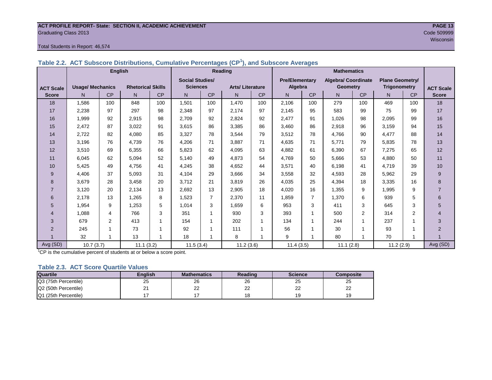## **ACT PROFILE REPORT- State: SECTION II, ACADEMIC ACHIEVEMENT PAGE 13** Graduating Class 2013 Code 509999

#### Total Students in Report: 46,574

|                  | <b>English</b>          |                |                          |                | <b>Reading</b>         |                |                        |           |                       |                |                            |                |                        |     |                  |
|------------------|-------------------------|----------------|--------------------------|----------------|------------------------|----------------|------------------------|-----------|-----------------------|----------------|----------------------------|----------------|------------------------|-----|------------------|
|                  |                         |                |                          |                | <b>Social Studies/</b> |                |                        |           | <b>Pre/Elementary</b> |                | <b>Algebra/ Coordinate</b> |                | <b>Plane Geometry/</b> |     |                  |
| <b>ACT Scale</b> | <b>Usage/ Mechanics</b> |                | <b>Rhetorical Skills</b> |                | <b>Sciences</b>        |                | <b>Arts/Literature</b> |           | Algebra               |                | <b>Geometry</b>            |                | <b>Trigonometry</b>    |     | <b>ACT Scale</b> |
| <b>Score</b>     | N.                      | CP             | N                        | CP             | N.                     | CP             | N.                     | <b>CP</b> | N.                    | CP             | N                          | <b>CP</b>      | N.                     | CP  | <b>Score</b>     |
| 18               | 1,586                   | 100            | 848                      | 100            | 1,501                  | 100            | 1,470                  | 100       | 2,106                 | 100            | 279                        | 100            | 469                    | 100 | 18               |
| 17               | 2,238                   | 97             | 297                      | 98             | 2,348                  | 97             | 2,174                  | 97        | 2,145                 | 95             | 583                        | 99             | 75                     | 99  | 17               |
| 16               | 1,999                   | 92             | 2,915                    | 98             | 2,709                  | 92             | 2,824                  | 92        | 2,477                 | 91             | 1,026                      | 98             | 2,095                  | 99  | 16               |
| 15               | 2,472                   | 87             | 3,022                    | 91             | 3,615                  | 86             | 3,385                  | 86        | 3,460                 | 86             | 2,918                      | 96             | 3,159                  | 94  | 15               |
| 14               | 2,722                   | 82             | 4,080                    | 85             | 3,327                  | 78             | 3,544                  | 79        | 3,512                 | 78             | 4,766                      | 90             | 4,477                  | 88  | 14               |
| 13               | 3,196                   | 76             | 4,739                    | 76             | 4,206                  | 71             | 3,887                  | 71        | 4,635                 | 71             | 5,771                      | 79             | 5,835                  | 78  | 13               |
| 12               | 3,510                   | 69             | 6,355                    | 66             | 5,823                  | 62             | 4,095                  | 63        | 4,882                 | 61             | 6,390                      | 67             | 7,275                  | 65  | 12               |
| 11               | 6,045                   | 62             | 5,094                    | 52             | 5,140                  | 49             | 4,873                  | 54        | 4,769                 | 50             | 5,666                      | 53             | 4,880                  | 50  | 11               |
| 10               | 5,425                   | 49             | 4,756                    | 41             | 4,245                  | 38             | 4,652                  | 44        | 3,571                 | 40             | 6,198                      | 41             | 4,719                  | 39  | 10               |
| 9                | 4,406                   | 37             | 5,093                    | 31             | 4,104                  | 29             | 3,666                  | 34        | 3,558                 | 32             | 4,593                      | 28             | 5,962                  | 29  | 9                |
| 8                | 3,679                   | 28             | 3,458                    | 20             | 3,712                  | 21             | 3,819                  | 26        | 4,035                 | 25             | 4,394                      | 18             | 3,335                  | 16  | 8                |
| $\overline{7}$   | 3,120                   | 20             | 2,134                    | 13             | 2,692                  | 13             | 2,905                  | 18        | 4,020                 | 16             | 1,355                      | 9              | 1,995                  | 9   | $\overline{7}$   |
| 6                | 2.178                   | 13             | 1,265                    | 8              | 1,523                  | $\overline{7}$ | 2,370                  | 11        | 1,859                 | $\overline{7}$ | 1,370                      | 6              | 939                    | 5   | 6                |
| 5                | 1,954                   | 9              | 1,253                    | 5              | 1,014                  | 3              | 1,659                  | 6         | 953                   | 3              | 411                        | 3              | 645                    | 3   | 5                |
| $\overline{4}$   | 1,088                   | 4              | 766                      | 3              | 351                    | 1              | 930                    | 3         | 393                   |                | 500                        | $\overline{2}$ | 314                    | 2   | $\overline{4}$   |
| 3                | 679                     | $\overline{2}$ | 413                      | 1              | 154                    |                | 202                    |           | 134                   |                | 244                        |                | 237                    |     | 3                |
| 2                | 245                     |                | 73                       |                | 92                     |                | 111                    |           | 56                    |                | 30                         |                | 93                     |     | $\overline{2}$   |
|                  | 32                      | $\overline{ }$ | 13                       | $\overline{ }$ | 18                     | 1              | 8                      |           | 9                     |                | 80                         |                | 70                     |     |                  |
| Avg (SD)         | 10.7(3.7)               |                | 11.1(3.2)                |                | 11.5(3.4)              |                | 11.2(3.6)              |           | 11.4(3.5)             |                | 11.1(2.8)                  |                | 11.2(2.9)              |     | Avg (SD)         |

<sup>1</sup>CP is the cumulative percent of students at or below a score point.

#### **Table 2.3. ACT Score Quartile Values**

| <b>Quartile</b>      | Enalish  | <b>Mathematics</b> | Reading  | <b>Science</b> | Composite |
|----------------------|----------|--------------------|----------|----------------|-----------|
| Q3 (75th Percentile) | 25       | 26                 | 26       | 25             | 25        |
| Q2 (50th Percentile) | <u>.</u> | ົ<br>--            | nr<br>∠∠ | nn<br>--       | __        |
| Q1 (25th Percentile) |          |                    |          | $\sim$         |           |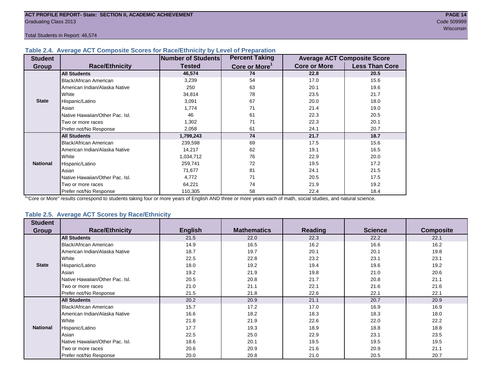Total Students in Report: 46,574

#### **Table 2.4. Average ACT Composite Scores for Race/Ethnicity by Level of Preparation**

| <b>Student</b>  |                                 | <b>Number of Students</b> | <b>Percent Taking</b>     |                     | <b>Average ACT Composite Score</b> |
|-----------------|---------------------------------|---------------------------|---------------------------|---------------------|------------------------------------|
| <b>Group</b>    | <b>Race/Ethnicity</b>           | <b>Tested</b>             | Core or More <sup>1</sup> | <b>Core or More</b> | <b>Less Than Core</b>              |
|                 | <b>All Students</b>             | 46,574                    | 74                        | 22.8                | 20.5                               |
|                 | Black/African American          | 3,239                     | 54                        | 17.0                | 15.6                               |
|                 | American Indian/Alaska Native   | 250                       | 63                        | 20.1                | 19.6                               |
|                 | <b>White</b>                    | 34,814                    | 78                        | 23.5                | 21.7                               |
| <b>State</b>    | Hispanic/Latino                 | 3,091                     | 67                        | 20.0                | 18.0                               |
|                 | Asian                           | 1,774                     | 71                        | 21.4                | 19.0                               |
|                 | Native Hawaiian/Other Pac. Isl. | 46                        | 61                        | 22.3                | 20.5                               |
|                 | I Two or more races             | 1,302                     | 71                        | 22.3                | 20.1                               |
|                 | Prefer not/No Response          | 2,058                     | 61                        | 24.1                | 20.7                               |
|                 | <b>All Students</b>             | 1,799,243                 | 74                        | 21.7                | 18.7                               |
|                 | Black/African American          | 239,598                   | 69                        | 17.5                | 15.6                               |
|                 | American Indian/Alaska Native   | 14,217                    | 62                        | 19.1                | 16.5                               |
|                 | <b>White</b>                    | 1,034,712                 | 76                        | 22.9                | 20.0                               |
| <b>National</b> | Hispanic/Latino                 | 259,741                   | 72                        | 19.5                | 17.2                               |
|                 | Asian                           | 71,677                    | 81                        | 24.1                | 21.5                               |
|                 | Native Hawaiian/Other Pac. Isl. | 4,772                     | 71                        | 20.5                | 17.5                               |
|                 | I Two or more races             | 64,221                    | 74                        | 21.9                | 19.2                               |
|                 | Prefer not/No Response          | 110,305                   | 58                        | 22.4                | 18.4                               |

<sup>1</sup>"Core or More" results correspond to students taking four or more years of English AND three or more years each of math, social studies, and natural science.

#### **Table 2.5. Average ACT Scores by Race/Ethnicity**

| <b>Student</b>  |                                 |                |                    |                |                |                  |
|-----------------|---------------------------------|----------------|--------------------|----------------|----------------|------------------|
| Group           | <b>Race/Ethnicity</b>           | <b>English</b> | <b>Mathematics</b> | <b>Reading</b> | <b>Science</b> | <b>Composite</b> |
|                 | <b>All Students</b>             | 21.5           | 22.0               | 22.3           | 22.2           | 22.1             |
|                 | Black/African American          | 14.9           | 16.5               | 16.2           | 16.6           | 16.2             |
|                 | American Indian/Alaska Native   | 18.7           | 19.7               | 20.1           | 20.1           | 19.8             |
|                 | White                           | 22.5           | 22.8               | 23.2           | 23.1           | 23.1             |
| <b>State</b>    | Hispanic/Latino                 | 18.0           | 19.2               | 19.4           | 19.6           | 19.2             |
|                 | Asian                           | 19.2           | 21.9               | 19.8           | 21.0           | 20.6             |
|                 | Native Hawaiian/Other Pac. Isl. | 20.5           | 20.8               | 21.7           | 20.8           | 21.1             |
|                 | Two or more races               | 21.0           | 21.1               | 22.1           | 21.6           | 21.6             |
|                 | Prefer not/No Response          | 21.5           | 21.8               | 22.6           | 22.1           | 22.1             |
|                 | <b>All Students</b>             | 20.2           | 20.9               | 21.1           | 20.7           | 20.9             |
|                 | <b>Black/African American</b>   | 15.7           | 17.2               | 17.0           | 16.9           | 16.9             |
|                 | American Indian/Alaska Native   | 16.6           | 18.2               | 18.3           | 18.3           | 18.0             |
|                 | White                           | 21.8           | 21.9               | 22.6           | 22.0           | 22.2             |
| <b>National</b> | Hispanic/Latino                 | 17.7           | 19.3               | 18.9           | 18.8           | 18.8             |
|                 | Asian                           | 22.5           | 25.0               | 22.9           | 23.1           | 23.5             |
|                 | Native Hawaiian/Other Pac. Isl. | 18.6           | 20.1               | 19.5           | 19.5           | 19.5             |
|                 | Two or more races               | 20.6           | 20.9               | 21.6           | 20.9           | 21.1             |
|                 | Prefer not/No Response          | 20.0           | 20.8               | 21.0           | 20.5           | 20.7             |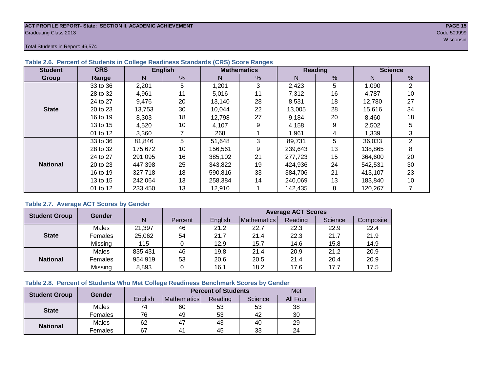#### **ACT PROFILE REPORT- State: SECTION II, ACADEMIC ACHIEVEMENT PAGE 15** Graduating Class 2013 Code 509999

Total Students in Report: 46,574

| <b>Student</b>  | <b>CRS</b> |         | <b>English</b> |         | <b>Mathematics</b> |         | <b>Reading</b> | <b>Science</b> |              |  |
|-----------------|------------|---------|----------------|---------|--------------------|---------|----------------|----------------|--------------|--|
| Group           | Range      | N       | %              | N       | %                  | N       | $\frac{0}{0}$  | N              | %            |  |
|                 | 33 to 36   | 2,201   | 5              | 1,201   | 3                  | 2,423   | 5              | 1,090          | 2            |  |
|                 | 28 to 32   | 4,961   | 11             | 5,016   | 11                 | 7,312   | 16             | 4,787          | 10           |  |
|                 | 24 to 27   | 9,476   | 20<br>13,140   |         | 28                 | 8,531   | 18             | 12,780         | 27           |  |
| <b>State</b>    | 20 to 23   | 13,753  | 30             | 10,044  | 22                 | 13,005  | 28             | 15,616         | 34           |  |
|                 | 16 to 19   | 8,303   | 18             | 12,798  | 27                 | 9,184   | 20             | 8,460          | 18           |  |
|                 | 13 to 15   | 4,520   | 10             | 4,107   | 9                  | 4,158   | 9              | 2,502          | 5            |  |
|                 | 01 to 12   | 3,360   |                | 268     |                    | 1,961   | 4              | 1,339          | 3            |  |
|                 | 33 to 36   | 81,846  | 5              | 51,648  | 3                  | 89,731  | 5              | 36,033         | $\mathbf{2}$ |  |
|                 | 28 to 32   | 175,672 | 10             | 156,561 | 9                  | 239,643 | 13             | 138,865        | 8            |  |
|                 | 24 to 27   | 291.095 | 16             | 385.102 | 21                 | 277,723 | 15             | 364,600        | 20           |  |
| <b>National</b> | 20 to 23   | 447,398 | 25             | 343,822 | 19                 | 424,936 | 24             | 542,531        | 30           |  |
|                 | 16 to 19   | 327,718 | 18             | 590,816 | 33                 | 384.706 | 21             | 413,107        | 23           |  |
|                 | 13 to 15   | 242.064 | 13             | 258,384 | 14                 | 240,069 | 13             | 183,840        | 10           |  |
|                 | 01 to 12   | 233,450 | 13             | 12,910  |                    | 142,435 | 8              | 120,267        |              |  |

#### **Table 2.6. Percent of Students in College Readiness Standards (CRS) Score Ranges**

#### **Table 2.7. Average ACT Scores by Gender**

| <b>Student Group</b> | <b>Gender</b> |         |         | <b>Average ACT Scores</b> |             |         |         |           |  |  |  |  |
|----------------------|---------------|---------|---------|---------------------------|-------------|---------|---------|-----------|--|--|--|--|
|                      |               | N       | Percent | Enalish                   | Mathematics | Reading | Science | Composite |  |  |  |  |
|                      | Males         | 21,397  | 46      | 21.2                      | 22.7        | 22.3    | 22.9    | 22.4      |  |  |  |  |
| <b>State</b>         | Females       | 25,062  | 54      | 21.7                      | 21.4        | 22.3    | 21.7    | 21.9      |  |  |  |  |
|                      | Missing       | 115     |         | 12.9                      | 15.7        | 14.6    | 15.8    | 14.9      |  |  |  |  |
|                      | Males         | 835,431 | 46      | 19.8                      | 21.4        | 20.9    | 21.2    | 20.9      |  |  |  |  |
| <b>National</b>      | Females       | 954,919 | 53      | 20.6                      | 20.5        | 21.4    | 20.4    | 20.9      |  |  |  |  |
|                      | Missing       | 8,893   | 0       | 16.1                      | 18.2        | 17.6    | 17.7    | 17.5      |  |  |  |  |

#### **Table 2.8. Percent of Students Who Met College Readiness Benchmark Scores by Gender**

| <b>Student Group</b> | Gender       |         | <b>Percent of Students</b> | Met     |         |          |
|----------------------|--------------|---------|----------------------------|---------|---------|----------|
|                      |              | English | <b>Mathematics</b>         | Reading | Science | All Four |
| <b>State</b>         | Males        | 74      | 60                         | 53      | 53      | 38       |
|                      | Females      | 76      | 49                         | 53      | 42      | 30       |
| <b>National</b>      | <b>Males</b> | 62      | 47                         | 43      | 40      | 29       |
|                      | Females      | 67      | 4 <sup>1</sup>             | 45      | 33      | 24       |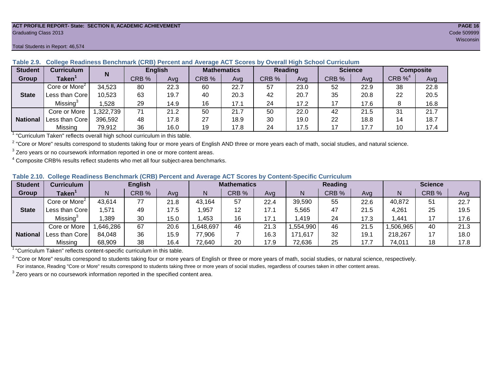#### **ACT PROFILE REPORT- State: SECTION II, ACADEMIC ACHIEVEMENT PAGE 16** Graduating Class 2013 Code 509999

#### Total Students in Report: 46,574

| <b>Student</b>  | Curriculum                | N        | <b>English</b> |      | <b>Mathematics</b> |      | <b>Reading</b> |      | <b>Science</b> |      | <b>Composite</b> |      |
|-----------------|---------------------------|----------|----------------|------|--------------------|------|----------------|------|----------------|------|------------------|------|
| Group           | Taken $^{\rm \texttt{1}}$ |          | CRB %          | Avg  | CRB %              | Avg  | CRB %          | Avg  | CRB %          | Ava  | CRB $\%^4$       | Avg  |
|                 | Core or More <sup>2</sup> | 34,523   | 80             | 22.3 | 60                 | 22.7 | 57             | 23.0 | 52             | 22.9 | 38               | 22.8 |
| <b>State</b>    | Less than Corel           | 10,523   | 63             | 19.7 | 40                 | 20.3 | 42             | 20.7 | 35             | 20.8 | 22               | 20.5 |
|                 | Missing <sup>3</sup>      | .528     | 29             | 14.9 | 16                 | 17.1 | 24             | 17.2 | 17             | 17.6 |                  | 16.8 |
|                 | Core or More              | ,322,739 | 71             | 21.2 | 50                 | 21.7 | 50             | 22.0 | 42             | 21.5 | 31               | 21.7 |
| <b>National</b> | Less than Corel           | 396,592  | 48             | 17.8 | 27                 | 18.9 | 30             | 19.0 | 22             | 18.8 | 14               | 18.7 |
|                 | Missing                   | 79,912   | 36             | 16.0 | 19                 | 17.8 | 24             | 17.5 | 17             | 17.7 | 10               | 17.4 |

**Table 2.9. College Readiness Benchmark (CRB) Percent and Average ACT Scores by Overall High School Curriculum**

<sup>1</sup> "Curriculum Taken" reflects overall high school curriculum in this table.

 $^2$  "Core or More" results correspond to students taking four or more years of English AND three or more years each of math, social studies, and natural science.

 $3$  Zero years or no coursework information reported in one or more content areas.

 $4$  Composite CRB% results reflect students who met all four subject-area benchmarks.

| Table 2.10. College Readiness Benchmark (CRB) Percent and Average ACT Scores by Content-Specific Curriculum |
|-------------------------------------------------------------------------------------------------------------|
|-------------------------------------------------------------------------------------------------------------|

| <b>Student</b>  | Curriculum                    | <b>English</b> |       |      | <b>Mathematics</b> |       |      | <b>Reading</b> |       |      | <b>Science</b> |       |      |
|-----------------|-------------------------------|----------------|-------|------|--------------------|-------|------|----------------|-------|------|----------------|-------|------|
| Group           | $\mathsf{Taken}^{\mathsf{T}}$ |                | CRB % | Avg  | N                  | CRB % | Avg  | N              | CRB % | Avg  | N              | CRB % | Avg  |
|                 | Core or More <sup>2</sup>     | 43,614         | 77    | 21.8 | 43,164             | 57    | 22.4 | 39,590         | 55    | 22.6 | 40,872         | 51    | 22.7 |
| <b>State</b>    | Less than Corel               | ,571           | 49    | 17.5 | ,957               | 12    | 17.1 | 5,565          | 47    | 21.5 | 4,261          | 25    | 19.5 |
|                 | Missing®                      | ,389           | 30    | 15.0 | ,453               | 16    | 17.1 | .419           | 24    | 17.3 | .441           |       | 17.6 |
|                 | Core or More                  | ,646,286       | 67    | 20.6 | 648,697            | 46    | 21.3 | .554,990       | 46    | 21.5 | ,506,965       | 40    | 21.3 |
| <b>National</b> | Less than Core                | 84,048         | 36    | 15.9 | 77,906             |       | 16.3 | 171,617        | 32    | 19.1 | 218,267        | 17    | 18.0 |
|                 | Missing                       | 68,909         | 38    | 16.4 | 72,640             | 20    | 17.9 | 72,636         | 25    | 17.7 | 74,011         | 18    | 17.8 |

<sup>1</sup>"Curriculum Taken" reflects content-specific curriculum in this table.

<sup>2</sup> "Core or More" results correspond to students taking four or more years of English or three or more years of math, social studies, or natural science, respectively. For instance, Reading "Core or More" results correspond to students taking three or more years of social studies, regardless of courses taken in other content areas.

 $3$  Zero years or no coursework information reported in the specified content area.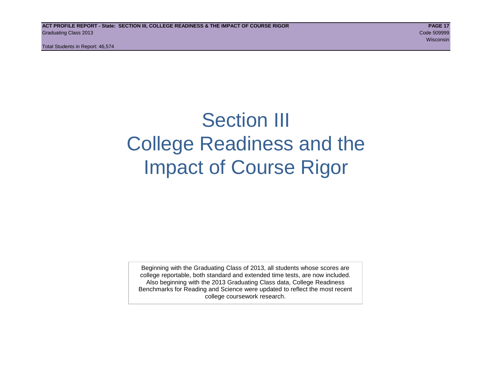Total Students in Report: 46,574

## Section III College Readiness and the Impact of Course Rigor

Beginning with the Graduating Class of 2013, all students whose scores are college reportable, both standard and extended time tests, are now included. Also beginning with the 2013 Graduating Class data, College Readiness Benchmarks for Reading and Science were updated to reflect the most recent college coursework research.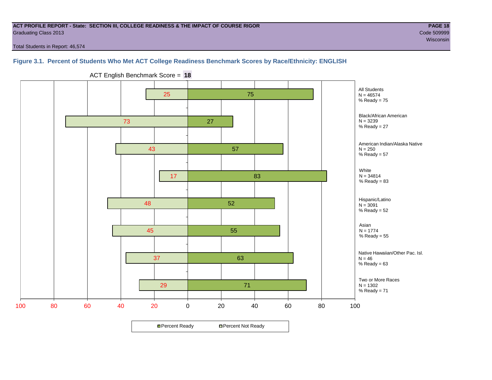#### **ACT PROFILE REPORT - State: SECTION III, COLLEGE READINESS & THE IMPACT OF COURSE RIGOR PAGE 18** Graduating Class 2013 Code 509999

wisconsin and the contract of the contract of the contract of the contract of the contract of the consintent of the

Total Students in Report: 46,574

#### **Figure 3.1. Percent of Students Who Met ACT College Readiness Benchmark Scores by Race/Ethnicity: ENGLISH**



ACT English Benchmark Score = **18**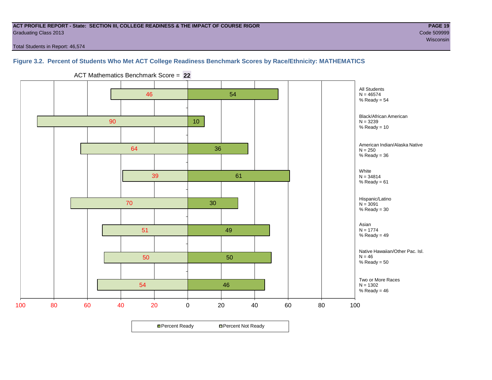#### **ACT PROFILE REPORT - State: SECTION III, COLLEGE READINESS & THE IMPACT OF COURSE RIGOR PAGE 19** Graduating Class 2013 Code 509999

Total Students in Report: 46,574

### **Figure 3.2. Percent of Students Who Met ACT College Readiness Benchmark Scores by Race/Ethnicity: MATHEMATICS**



ACT Mathematics Benchmark Score = **22**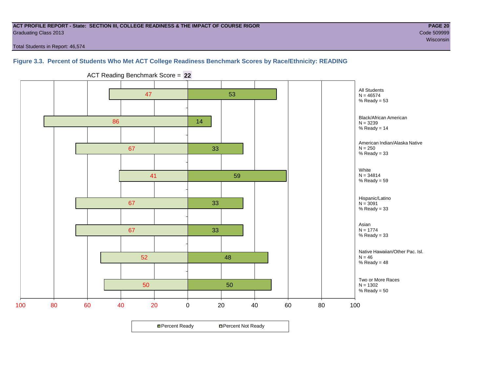#### **ACT PROFILE REPORT - State: SECTION III, COLLEGE READINESS & THE IMPACT OF COURSE RIGOR PAGE 20** Graduating Class 2013 Code 509999

wisconsin and the contract of the contract of the contract of the contract of the contract of the consintent of the

Total Students in Report: 46,574

#### **Figure 3.3. Percent of Students Who Met ACT College Readiness Benchmark Scores by Race/Ethnicity: READING**



ACT Reading Benchmark Score = **22**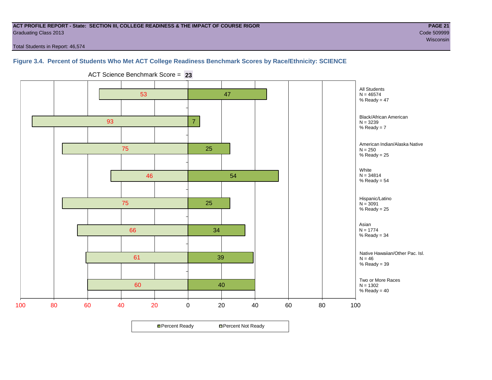#### **ACT PROFILE REPORT - State: SECTION III, COLLEGE READINESS & THE IMPACT OF COURSE RIGOR PAGE 21** Graduating Class 2013 Code 509999

wisconsin and the contract of the contract of the contract of the contract of the contract of the consintent of the

Total Students in Report: 46,574

#### **Figure 3.4. Percent of Students Who Met ACT College Readiness Benchmark Scores by Race/Ethnicity: SCIENCE**

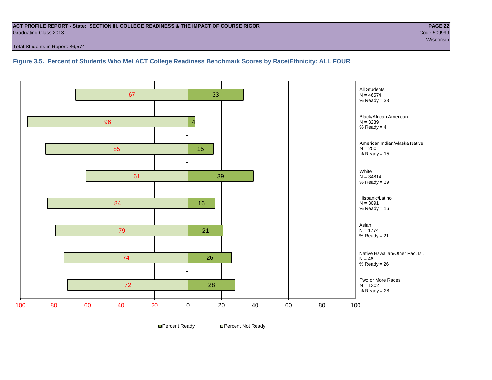#### **ACT PROFILE REPORT - State: SECTION III, COLLEGE READINESS & THE IMPACT OF COURSE RIGOR PAGE 22** Graduating Class 2013 Code 509999

Total Students in Report: 46,574

**Figure 3.5. Percent of Students Who Met ACT College Readiness Benchmark Scores by Race/Ethnicity: ALL FOUR**

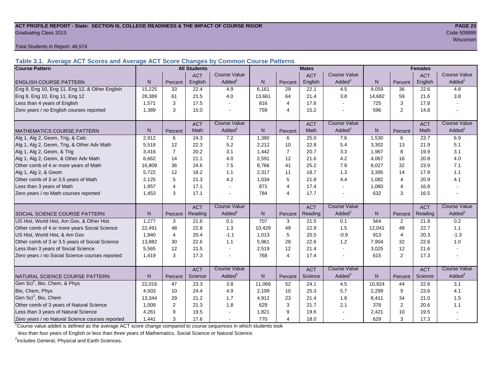#### **ACT PROFILE REPORT - State: SECTION III, COLLEGE READINESS & THE IMPACT OF COURSE RIGOR PAGE 23** Graduating Class 2013 Code 509999

Total Students in Report: 46,574

**Table 3.1. Average ACT Scores and Average ACT Score Changes by Common Course Patterns**

| <b>Course Pattern</b>                            |                |                | <b>All Students</b> |                     |              |                | <b>Males</b> |                          | <b>Females</b> |                |            |                        |
|--------------------------------------------------|----------------|----------------|---------------------|---------------------|--------------|----------------|--------------|--------------------------|----------------|----------------|------------|------------------------|
|                                                  |                |                | <b>ACT</b>          | <b>Course Value</b> |              |                | <b>ACT</b>   | <b>Course Value</b>      |                |                | <b>ACT</b> | <b>Course Value</b>    |
| <b>ENGLISH COURSE PATTERN</b>                    | N.             | Percent        | English             | Added               | N            | Percent        | English      | Added                    | N              | Percent        | English    | A d d e d <sup>1</sup> |
| Eng 9, Eng 10, Eng 11, Eng 12, & Other English   | 15,225         | 33             | 22.4                | 4.9                 | 6,161        | 29             | 22.1         | 4.5                      | 9,059          | 36             | 22.6       | 4.8                    |
| Eng 9, Eng 10, Eng 11, Eng 12                    | 28,389         | 61             | 21.5                | 4.0                 | 13,661       | 64             | 21.4         | 3.8                      | 14,682         | 59             | 21.6       | 3.8                    |
| Less than 4 years of English                     | 1,571          | 3              | 17.5                |                     | 816          | $\overline{4}$ | 17.6         | $\sim$                   | 725            | 3              | 17.8       |                        |
| Zero years / no English courses reported         | 1,389          | 3              | 15.0                |                     | 759          | $\overline{4}$ | 15.2         | $\blacksquare$           | 596            | $\overline{2}$ | 14.8       |                        |
|                                                  |                |                | <b>ACT</b>          | <b>Course Value</b> |              |                | <b>ACT</b>   | <b>Course Value</b>      |                |                | <b>ACT</b> | <b>Course Value</b>    |
| MATHEMATICS COURSE PATTERN                       | N <sub>1</sub> | Percent        | Math                | Added               | N            | Percent        | Math         | Added                    | $\overline{N}$ | Percent        | Math       | A d d e d <sup>1</sup> |
| Alg 1, Alg 2, Geom, Trig, & Calc                 | 2.912          | 6              | 24.3                | 7.2                 | 1,380        | 6              | 25.0         | 7.6                      | 1,530          | 6              | 23.7       | 6.9                    |
| Alg 1, Alg 2, Geom, Trig, & Other Adv Math       | 5,518          | 12             | 22.3                | 5.2                 | 2,212        | 10             | 22.8         | 5.4                      | 3,302          | 13             | 21.9       | 5.1                    |
| Alg 1, Alg 2, Geom, & Trig                       | 3,416          | $\overline{7}$ | 20.2                | 3.1                 | 1,442        | $\overline{7}$ | 20.7         | 3.3                      | 1,967          | 8              | 19.9       | 3.1                    |
| Alg 1, Alg 2, Geom, & Other Adv Math             | 6.662          | 14             | 21.1                | 4.0                 | 2,591        | 12             | 21.6         | 4.2                      | 4,067          | 16             | 20.8       | 4.0                    |
| Other comb of 4 or more years of Math            | 16,809         | 36             | 24.6                | 7.5                 | 8,766        | 41             | 25.2         | 7.8                      | 8,027          | 32             | 23.9       | 7.1                    |
| Alg 1, Alg 2, & Geom                             | 5,722          | 12             | 18.2                | 1.1                 | 2,317        | 11             | 18.7         | 1.3                      | 3,395          | 14             | 17.9       | 1.1                    |
| Other comb of 3 or 3.5 years of Math             | 2.125          | 5              | 21.3                | 4.2                 | 1,034        | 5              | 21.8         | 4.4                      | 1,082          | 4              | 20.9       | 4.1                    |
| Less than 3 years of Math                        | 1,957          | $\overline{4}$ | 17.1                |                     | 871          | $\overline{4}$ | 17.4         | $\sim$                   | 1,060          | 4              | 16.8       |                        |
| Zero years / no Math courses reported            | 1,453          | 3              | 17.1                |                     | 784          | $\overline{4}$ | 17.7         | $\sim$                   | 632            | 3              | 16.5       |                        |
|                                                  |                |                | <b>ACT</b>          | <b>Course Value</b> |              |                | <b>ACT</b>   | <b>Course Value</b>      |                |                | <b>ACT</b> | <b>Course Value</b>    |
| <b>SOCIAL SCIENCE COURSE PATTERN</b>             | N              | Percent        | Reading             | Added <sup>1</sup>  | $\mathsf{N}$ | Percent        | Reading      | Added <sup>1</sup>       | N              | Percent        | Reading    | A d d e d <sup>1</sup> |
| US Hist, World Hist, Am Gov, & Other Hist        | 1,277          | 3              | 21.6                | 0.1                 | 707          | 3              | 21.5         | 0.1                      | 564            | 2              | 21.8       | 0.2                    |
| Other comb of 4 or more years Social Science     | 22,491         | 48             | 22.8                | 1.3                 | 10,429       | 49             | 22.9         | 1.5                      | 12,041         | 48             | 22.7       | 1.1                    |
| US Hist, World Hist, & Am Gov                    | 1,940          | 4              | 20.4                | $-1.1$              | 1,013        | 5              | 20.5         | $-0.9$                   | 913            | 4              | 20.3       | $-1.3$                 |
| Other comb of 3 or 3.5 years of Social Science   | 13,882         | 30             | 22.6                | 1.1                 | 5,961        | 28             | 22.6         | 1.2                      | 7,904          | 32             | 22.6       | 1.0                    |
| Less than 3 years of Social Science              | 5,565          | 12             | 21.5                |                     | 2,519        | 12             | 21.4         | $\sim$                   | 3,025          | 12             | 21.6       |                        |
| Zero years / no Social Science courses reported  | 1,419          | 3              | 17.3                |                     | 768          | $\overline{4}$ | 17.4         | $\sim$                   | 615            | 2              | 17.3       |                        |
|                                                  |                |                | <b>ACT</b>          | <b>Course Value</b> |              |                | <b>ACT</b>   | <b>Course Value</b>      |                |                | <b>ACT</b> | <b>Course Value</b>    |
| NATURAL SCIENCE COURSE PATTERN                   | N.             | Percent        | Science             | Added               | N            | Percent        | Science      | Added <sup>1</sup>       | N <sub>1</sub> | Percent        | Science    | A d d e d <sup>1</sup> |
| Gen Sci <sup>2</sup> , Bio, Chem, & Phys         | 22,016         | 47             | 23.3                | 3.8                 | 11,066       | 52             | 24.1         | 4.5                      | 10,924         | 44             | 22.6       | 3.1                    |
| Bio, Chem, Phys                                  | 4,503          | 10             | 24.4                | 4.9                 | 2,199        | 10             | 25.3         | 5.7                      | 2,299          | 9              | 23.6       | 4.1                    |
| Gen Sci <sup>2</sup> , Bio, Chem                 | 13,344         | 29             | 21.2                | 1.7                 | 4,912        | 23             | 21.4         | 1.8                      | 8,411          | 34             | 21.0       | 1.5                    |
| Other comb of 3 years of Natural Science         | 1,009          | 2              | 21.3                | 1.8                 | 629          | 3              | 21.7         | 2.1                      | 378            | $\overline{2}$ | 20.6       | 1.1                    |
| Less than 3 years of Natural Science             | 4,261          | 9              | 19.5                |                     | 1,821        | 9              | 19.6         |                          | 2,421          | 10             | 19.5       |                        |
| Zero years / no Natural Science courses reported | 1,441          | 3              | 17.6                |                     | 770          | $\overline{4}$ | 18.0         | $\overline{\phantom{a}}$ | 629            | 3              | 17.3       |                        |

<sup>1</sup>Course value added is defined as the average ACT score change compared to course sequences in which students took

less than four years of English or less than three years of Mathematics, Social Science or Natural Science.

<sup>2</sup>Includes General, Physical and Earth Sciences.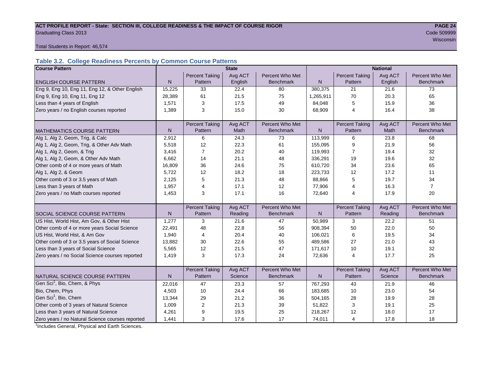## ACT PROFILE REPORT - State: SECTION III, COLLEGE READINESS & THE IMPACT OF COURSE RIGOR **PAGE 24** Graduating Class 2013 Code 509999

wisconsin and the contract of the contract of the contract of the contract of the contract of the contract of the contract of the contract of the contract of the contract of the contract of the contract of the contract of

Total Students in Report: 46,574

#### **Table 3.2. College Readiness Percents by Common Course Patterns**

| <b>Course Pattern</b>                            |              |                       | <b>State</b> |                  | <b>National</b> |                       |         |                  |  |  |
|--------------------------------------------------|--------------|-----------------------|--------------|------------------|-----------------|-----------------------|---------|------------------|--|--|
|                                                  |              | <b>Percent Taking</b> | Avg ACT      | Percent Who Met  |                 | <b>Percent Taking</b> | Avg ACT | Percent Who Met  |  |  |
| <b>ENGLISH COURSE PATTERN</b>                    | N            | Pattern               | English      | <b>Benchmark</b> | $\mathsf{N}$    | Pattern               | English | <b>Benchmark</b> |  |  |
| Eng 9, Eng 10, Eng 11, Eng 12, & Other English   | 15,225       | 33                    | 22.4         | 80               | 380,375         | 21                    | 21.6    | 73               |  |  |
| Eng 9, Eng 10, Eng 11, Eng 12                    | 28,389       | 61                    | 21.5         | 75               | 1,265,911       | 70                    | 20.3    | 65               |  |  |
| Less than 4 years of English                     | 1,571        | 3                     | 17.5         | 49               | 84,048          | 5                     | 15.9    | 36               |  |  |
| Zero years / no English courses reported         | 1,389        | 3                     | 15.0         | 30               | 68,909          | 4                     | 16.4    | 38               |  |  |
|                                                  |              |                       |              |                  |                 |                       |         |                  |  |  |
|                                                  |              | <b>Percent Taking</b> | Avg ACT      | Percent Who Met  |                 | <b>Percent Taking</b> | Avg ACT | Percent Who Met  |  |  |
| <b>MATHEMATICS COURSE PATTERN</b>                | N            | Pattern               | <b>Math</b>  | <b>Benchmark</b> | $\mathsf{N}$    | Pattern               | Math    | <b>Benchmark</b> |  |  |
| Alg 1, Alg 2, Geom, Trig, & Calc                 | 2,912        | 6                     | 24.3         | 73               | 113,999         | 6                     | 23.8    | 68               |  |  |
| Alg 1, Alg 2, Geom, Trig, & Other Adv Math       | 5,518        | 12                    | 22.3         | 61               | 155,095         | 9                     | 21.9    | 56               |  |  |
| Alg 1, Alg 2, Geom, & Trig                       | 3,416        | $\overline{7}$        | 20.2         | 40               | 119,993         | $\overline{7}$        | 19.4    | 32               |  |  |
| Alg 1, Alg 2, Geom, & Other Adv Math             | 6,662        | 14                    | 21.1         | 48               | 336,291         | 19                    | 19.6    | 32               |  |  |
| Other comb of 4 or more years of Math            | 16,809       | 36                    | 24.6         | 75               | 610,720         | 34                    | 23.6    | 65               |  |  |
| Alg 1, Alg 2, & Geom                             | 5,722        | 12                    | 18.2         | 18               | 223,733         | 12                    | 17.2    | 11               |  |  |
| Other comb of 3 or 3.5 years of Math             | 2,125        | 5                     | 21.3         | 48               | 88,866          | 5                     | 19.7    | 34               |  |  |
| Less than 3 years of Math                        | 1,957        | 4                     | 17.1         | 12               | 77,906          | 4                     | 16.3    | $\overline{7}$   |  |  |
| Zero years / no Math courses reported            | 1,453        | 3                     | 17.1         | 16               | 72,640          | 4                     | 17.9    | 20               |  |  |
|                                                  |              |                       |              |                  |                 |                       |         |                  |  |  |
|                                                  |              | <b>Percent Taking</b> | Avg ACT      | Percent Who Met  |                 | <b>Percent Taking</b> | Avg ACT | Percent Who Met  |  |  |
| <b>SOCIAL SCIENCE COURSE PATTERN</b>             | $\mathsf{N}$ | Pattern               | Reading      | <b>Benchmark</b> | $\mathsf{N}$    | Pattern               | Reading | <b>Benchmark</b> |  |  |
| US Hist, World Hist, Am Gov, & Other Hist        | 1,277        | 3                     | 21.6         | 47               | 50,989          | 3                     | 22.2    | 51               |  |  |
| Other comb of 4 or more years Social Science     | 22,491       | 48                    | 22.8         | 56               | 908,394         | 50                    | 22.0    | 50               |  |  |
| US Hist, World Hist, & Am Gov                    | 1,940        | 4                     | 20.4         | 40               | 106,021         | 6                     | 19.5    | 34               |  |  |
| Other comb of 3 or 3.5 years of Social Science   | 13,882       | 30                    | 22.6         | 55               | 489,586         | 27                    | 21.0    | 43               |  |  |
| Less than 3 years of Social Science              | 5,565        | 12                    | 21.5         | 47               | 171,617         | 10                    | 19.1    | 32               |  |  |
| Zero years / no Social Science courses reported  | 1,419        | 3                     | 17.3         | 24               | 72,636          | 4                     | 17.7    | 25               |  |  |
|                                                  |              |                       |              |                  |                 |                       |         |                  |  |  |
|                                                  |              | <b>Percent Taking</b> | Avg ACT      | Percent Who Met  |                 | <b>Percent Taking</b> | Avg ACT | Percent Who Met  |  |  |
| NATURAL SCIENCE COURSE PATTERN                   | N            | Pattern               | Science      | <b>Benchmark</b> | N               | Pattern               | Science | <b>Benchmark</b> |  |  |
| Gen Sci <sup>1</sup> , Bio, Chem, & Phys         | 22,016       | 47                    | 23.3         | 57               | 767,293         | 43                    | 21.9    | 46               |  |  |
| Bio, Chem, Phys                                  | 4,503        | 10                    | 24.4         | 66               | 183,685         | 10                    | 23.0    | 54               |  |  |
| Gen Sci <sup>1</sup> , Bio, Chem                 | 13,344       | 29                    | 21.2         | 36               | 504,165         | 28                    | 19.9    | 28               |  |  |
| Other comb of 3 years of Natural Science         | 1,009        | 2                     | 21.3         | 39               | 51,822          | 3                     | 19.1    | 25               |  |  |
| Less than 3 years of Natural Science             | 4,261        | 9                     | 19.5         | 25               | 218,267         | 12                    | 18.0    | 17               |  |  |
| Zero years / no Natural Science courses reported | 1,441        | 3                     | 17.6         | 17               | 74,011          | 4                     | 17.8    | 18               |  |  |

<sup>1</sup>Includes General, Physical and Earth Sciences.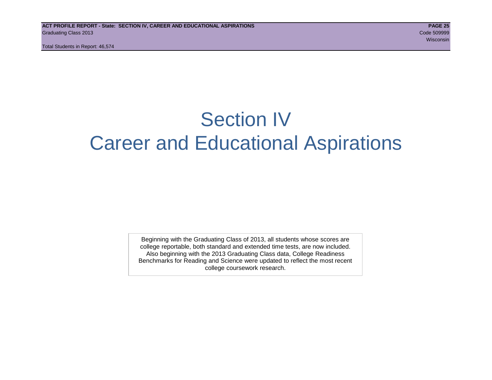Total Students in Report: 46,574

## Section IV Career and Educational Aspirations

Beginning with the Graduating Class of 2013, all students whose scores are college reportable, both standard and extended time tests, are now included. Also beginning with the 2013 Graduating Class data, College Readiness Benchmarks for Reading and Science were updated to reflect the most recent college coursework research.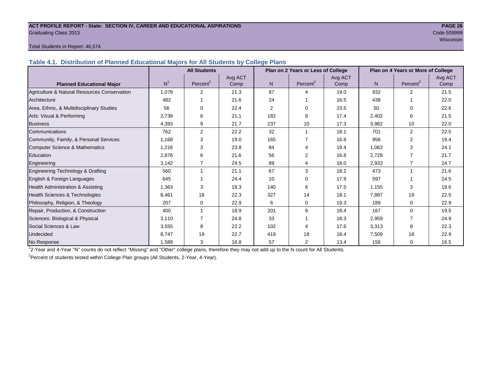#### **ACT PROFILE REPORT - State: SECTION IV, CAREER AND EDUCATIONAL ASPIRATIONS PAGE 26** Graduating Class 2013 Code 509999

wisconsin and the contract of the contract of the contract of the contract of the contract of the consintent of the

#### Total Students in Report: 46,574

**Table 4.1. Distribution of Planned Educational Majors for All Students by College Plans**

|                                              |                | <b>All Students</b>  |         |                | Plan on 2 Years or Less of College |         | Plan on 4 Years or More of College |                      |         |  |
|----------------------------------------------|----------------|----------------------|---------|----------------|------------------------------------|---------|------------------------------------|----------------------|---------|--|
|                                              |                |                      | Avg ACT |                |                                    | Avg ACT |                                    |                      | Avg ACT |  |
| <b>Planned Educational Major</b>             | N <sup>1</sup> | Percent <sup>2</sup> | Comp    | N <sub>1</sub> | Percent <sup>2</sup>               | Comp    | N <sub>1</sub>                     | Percent <sup>2</sup> | Comp    |  |
| Agriculture & Natural Resources Conservation | 1,078          | 2                    | 21.3    | 87             | $\Lambda$                          | 19.0    | 932                                | $\mathfrak{p}$       | 21.5    |  |
| Architecture                                 | 482            |                      | 21.6    | 24             |                                    | 16.5    | 438                                |                      | 22.0    |  |
| Area, Ethnic, & Multidisciplinary Studies    | 56             | $\Omega$             | 22.4    | 2              | $\Omega$                           | 23.5    | 50                                 | $\Omega$             | 22.6    |  |
| Arts: Visual & Performing                    | 2,738          | 6                    | 21.1    | 182            | 8                                  | 17.4    | 2,402                              | 6                    | 21.5    |  |
| <b>Business</b>                              | 4,393          | 9                    | 21.7    | 237            | 10                                 | 17.3    | 3,982                              | 10                   | 22.0    |  |
| Communications                               | 762            | $\overline{2}$       | 22.2    | 32             |                                    | 18.1    | 701                                | 2                    | 22.5    |  |
| Community, Family, & Personal Services       | 1.168          | 3                    | 19.0    | 165            |                                    | 16.8    | 956                                | $\overline{2}$       | 19.4    |  |
| Computer Science & Mathematics               | 1,216          | 3                    | 23.8    | 84             |                                    | 19.4    | 1,063                              | 3                    | 24.1    |  |
| Education                                    | 2,876          | 6                    | 21.6    | 56             | 2                                  | 16.8    | 2,728                              |                      | 21.7    |  |
| Engineering                                  | 3,142          | $\overline{7}$       | 24.5    | 89             |                                    | 18.0    | 2,932                              | $\overline{7}$       | 24.7    |  |
| Engineering Technology & Drafting            | 560            | 1                    | 21.1    | 67             | 3                                  | 18.2    | 473                                | 1                    | 21.6    |  |
| English & Foreign Languages                  | 645            |                      | 24.4    | 10             | $\Omega$                           | 17.9    | 597                                |                      | 24.5    |  |
| <b>Health Administration &amp; Assisting</b> | 1,363          | 3                    | 19.3    | 140            | 6                                  | 17.5    | 1,155                              | 3                    | 19.6    |  |
| Health Sciences & Technologies               | 8,461          | 18                   | 22.3    | 327            | 14                                 | 18.1    | 7,887                              | 19                   | 22.5    |  |
| Philosophy, Religion, & Theology             | 207            | 0                    | 22.9    | 6              | $\mathbf 0$                        | 19.3    | 189                                | 0                    | 22.9    |  |
| Repair, Production, & Construction           | 400            |                      | 18.9    | 201            | 9                                  | 18.4    | 167                                | $\Omega$             | 19.5    |  |
| Sciences: Biological & Physical              | 3,110          |                      | 24.8    | 33             |                                    | 18.3    | 2,959                              |                      | 24.9    |  |
| Social Sciences & Law                        | 3,555          | 8                    | 22.2    | 102            |                                    | 17.6    | 3,313                              | 8                    | 22.3    |  |
| Undecided                                    | 8,747          | 19                   | 22.7    | 419            | 18                                 | 18.4    | 7,509                              | 18                   | 22.9    |  |
| No Response                                  | 1,589          | 3                    | 16.8    | 57             | $\overline{2}$                     | 13.4    | 156                                | $\mathbf 0$          | 16.5    |  |

1 2-Year and 4-Year "N" counts do not reflect "Missing" and "Other" college plans, therefore they may not add up to the N count for All Students.

<sup>2</sup> Percent of students tested within College Plan groups (All Students, 2-Year, 4-Year).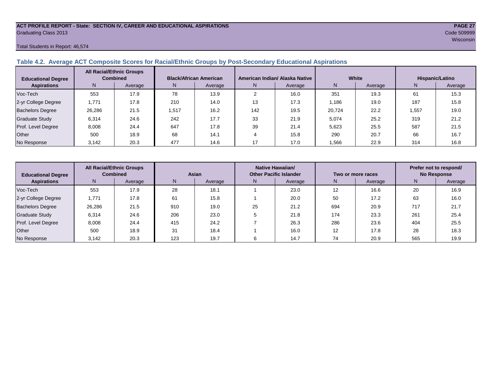## **ACT PROFILE REPORT - State: SECTION IV, CAREER AND EDUCATIONAL ASPIRATIONS PAGE 27** Graduating Class 2013 Code 509999

#### Total Students in Report: 46,574

#### **Table 4.2. Average ACT Composite Scores for Racial/Ethnic Groups by Post-Secondary Educational Aspirations**

| <b>Educational Degree</b> | <b>All Racial/Ethnic Groups</b><br><b>Combined</b> |         | <b>Black/African American</b> |         |     | American Indian/ Alaska Native |        | White   | Hispanic/Latino |         |  |
|---------------------------|----------------------------------------------------|---------|-------------------------------|---------|-----|--------------------------------|--------|---------|-----------------|---------|--|
| <b>Aspirations</b>        | N.                                                 | Average | N.                            | Average | N.  | Average                        | N      | Average | N.              | Average |  |
| Voc-Tech                  | 553                                                | 17.9    | 78                            | 13.9    |     | 16.0                           | 351    | 19.3    | 61              | 15.3    |  |
| 2-yr College Degree       | 1,771                                              | 17.8    | 210                           | 14.0    | 13  | 17.3                           | 1.186  | 19.0    | 187             | 15.8    |  |
| <b>Bachelors Degree</b>   | 26,286                                             | 21.5    | 1,517                         | 16.2    | 142 | 19.5                           | 20.724 | 22.2    | .557            | 19.0    |  |
| <b>Graduate Study</b>     | 6.314                                              | 24.6    | 242                           | 17.7    | 33  | 21.9                           | 5,074  | 25.2    | 319             | 21.2    |  |
| Prof. Level Degree        | 8,008                                              | 24.4    | 647                           | 17.8    | 39  | 21.4                           | 5,623  | 25.5    | 587             | 21.5    |  |
| Other                     | 500                                                | 18.9    | 68                            | 14.1    |     | 15.8                           | 290    | 20.7    | 66              | 16.7    |  |
| No Response               | 3,142                                              | 20.3    | 477                           | 14.6    |     | 17.0                           | 1,566  | 22.9    | 314             | 16.8    |  |

| <b>Educational Degree</b> |        | <b>All Racial/Ethnic Groups</b><br><b>Combined</b><br>Asian |     | <b>Native Hawaiian/</b><br><b>Other Pacific Islander</b> |               |      |     | Two or more races | Prefer not to respond/<br><b>No Response</b> |         |  |
|---------------------------|--------|-------------------------------------------------------------|-----|----------------------------------------------------------|---------------|------|-----|-------------------|----------------------------------------------|---------|--|
| <b>Aspirations</b>        | N      | Average                                                     | N   | Average                                                  | N.<br>Average |      | N.  | Average           | Ν                                            | Average |  |
| Voc-Tech                  | 553    | 17.9                                                        | 28  | 18.1                                                     |               | 23.0 | 12  | 16.6              | 20                                           | 16.9    |  |
| 2-yr College Degree       | 1,771  | 17.8                                                        | 61  | 15.8                                                     |               | 20.0 | 50  | 17.2              | 63                                           | 16.0    |  |
| <b>Bachelors Degree</b>   | 26,286 | 21.5                                                        | 910 | 19.0                                                     | 25            | 21.2 | 694 | 20.9              | 717                                          | 21.7    |  |
| <b>Graduate Study</b>     | 6,314  | 24.6                                                        | 206 | 23.0                                                     |               | 21.8 | 174 | 23.3              | 261                                          | 25.4    |  |
| Prof. Level Degree        | 8,008  | 24.4                                                        | 415 | 24.2                                                     |               | 26.3 | 286 | 23.6              | 404                                          | 25.5    |  |
| Other                     | 500    | 18.9                                                        | 31  | 18.4                                                     |               | 16.0 | 12  | 17.8              | 28                                           | 18.3    |  |
| No Response               | 3,142  | 20.3                                                        | 123 | 19.7                                                     |               | 14.7 | 74  | 20.9              | 565                                          | 19.9    |  |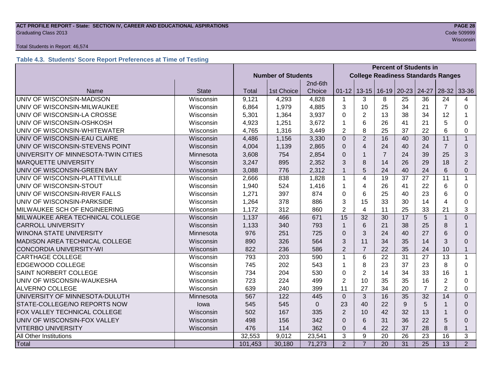## **ACT PROFILE REPORT - State: SECTION IV, CAREER AND EDUCATIONAL ASPIRATIONS PAGE 28** Graduating Class 2013 Code 509999

#### Total Students in Report: 46,574

#### **Table 4.3. Students' Score Report Preferences at Time of Testing**

|                                     |              |                           |            |          | <b>Percent of Students in</b> |                                           |                |                         |                 |                |                |
|-------------------------------------|--------------|---------------------------|------------|----------|-------------------------------|-------------------------------------------|----------------|-------------------------|-----------------|----------------|----------------|
|                                     |              | <b>Number of Students</b> |            |          |                               | <b>College Readiness Standards Ranges</b> |                |                         |                 |                |                |
|                                     |              |                           |            | 2nd-6th  |                               |                                           |                |                         |                 |                |                |
| Name                                | <b>State</b> | <b>Total</b>              | 1st Choice | Choice   | $01 - 12$                     |                                           |                | $13-15$   16-19   20-23 | 24-27           | $28-32$        | 33-36          |
| UNIV OF WISCONSIN-MADISON           | Wisconsin    | 9,121                     | 4,293      | 4,828    | $\mathbf{1}$                  | 3                                         | 8              | 25                      | 36              | 24             | 4              |
| UNIV OF WISCONSIN-MILWAUKEE         | Wisconsin    | 6,864                     | 1,979      | 4,885    | 3                             | 10                                        | 25             | 34                      | 21              | $\overline{7}$ | $\Omega$       |
| UNIV OF WISCONSIN-LA CROSSE         | Wisconsin    | 5,301                     | 1,364      | 3,937    | 0                             | 2                                         | 13             | 38                      | 34              | 12             |                |
| UNIV OF WISCONSIN-OSHKOSH           | Wisconsin    | 4,923                     | 1,251      | 3,672    | 1                             | 6                                         | 26             | 41                      | 21              | 5              | 0              |
| UNIV OF WISCONSIN-WHITEWATER        | Wisconsin    | 4,765                     | 1,316      | 3,449    | $\overline{2}$                | 8                                         | 25             | 37                      | 22              | 6              | 0              |
| UNIV OF WISCONSIN-EAU CLAIRE        | Wisconsin    | 4,486                     | 1,156      | 3,330    | $\Omega$                      | $\overline{2}$                            | 16             | 40                      | 30              | 11             | $\mathbf{1}$   |
| UNIV OF WISCONSIN-STEVENS POINT     | Wisconsin    | 4,004                     | 1,139      | 2,865    | $\Omega$                      | $\overline{4}$                            | 24             | 40                      | 24              | $\overline{7}$ | $\Omega$       |
| UNIVERSITY OF MINNESOTA-TWIN CITIES | Minnesota    | 3,608                     | 754        | 2,854    | $\Omega$                      | $\mathbf{1}$                              | $\overline{7}$ | 24                      | 39              | 25             | 3              |
| <b>MARQUETTE UNIVERSITY</b>         | Wisconsin    | 3,247                     | 895        | 2,352    | 3                             | 8                                         | 14             | 26                      | 29              | 18             | $\overline{2}$ |
| UNIV OF WISCONSIN-GREEN BAY         | Wisconsin    | 3,088                     | 776        | 2,312    | $\overline{1}$                | 5                                         | 24             | 40                      | 24              | 6              | 0              |
| UNIV OF WISCONSIN-PLATTEVILLE       | Wisconsin    | 2,666                     | 838        | 1,828    | $\mathbf{1}$                  | $\overline{4}$                            | 19             | 37                      | 27              | 11             | $\mathbf{1}$   |
| UNIV OF WISCONSIN-STOUT             | Wisconsin    | 1,940                     | 524        | 1,416    | 1                             | 4                                         | 26             | 41                      | 22              | 6              | 0              |
| UNIV OF WISCONSIN-RIVER FALLS       | Wisconsin    | 1,271                     | 397        | 874      | 0                             | 6                                         | 25             | 40                      | 23              | 6              | 0              |
| UNIV OF WISCONSIN-PARKSIDE          | Wisconsin    | 1,264                     | 378        | 886      | 3                             | 15                                        | 33             | 30                      | 14              | 4              | 0              |
| MILWAUKEE SCH OF ENGINEERING        | Wisconsin    | 1,172                     | 312        | 860      | $\overline{2}$                | 4                                         | 11             | 25                      | 33              | 21             | 3              |
| MILWAUKEE AREA TECHNICAL COLLEGE    | Wisconsin    | 1,137                     | 466        | 671      | 15                            | 32                                        | 30             | 17                      | 5               |                | $\overline{0}$ |
| <b>CARROLL UNIVERSITY</b>           | Wisconsin    | 1,133                     | 340        | 793      | $\mathbf{1}$                  | 6                                         | 21             | 38                      | 25              | 8              | 1              |
| <b>WINONA STATE UNIVERSITY</b>      | Minnesota    | 976                       | 251        | 725      | $\Omega$                      | 3                                         | 24             | 40                      | 27              | 6              | 0              |
| MADISON AREA TECHNICAL COLLEGE      | Wisconsin    | 890                       | 326        | 564      | 3                             | 11                                        | 34             | 35                      | 14              | 3              | $\Omega$       |
| <b>CONCORDIA UNIVERSITY-WI</b>      | Wisconsin    | 822                       | 236        | 586      | $\overline{2}$                | $\overline{7}$                            | 22             | 35                      | 24              | 10             | $\mathbf{1}$   |
| <b>CARTHAGE COLLEGE</b>             | Wisconsin    | 793                       | 203        | 590      | $\mathbf{1}$                  | 6                                         | 22             | 31                      | 27              | 13             | $\mathbf 1$    |
| EDGEWOOD COLLEGE                    | Wisconsin    | 745                       | 202        | 543      | 1                             | 8                                         | 23             | 37                      | 23              | 8              | $\Omega$       |
| <b>SAINT NORBERT COLLEGE</b>        | Wisconsin    | 734                       | 204        | 530      | 0                             | $\overline{2}$                            | 14             | 34                      | 33              | 16             | 1              |
| UNIV OF WISCONSIN-WAUKESHA          | Wisconsin    | 723                       | 224        | 499      | $\overline{2}$                | 10                                        | 35             | 35                      | 16              | $\overline{2}$ | 0              |
| <b>ALVERNO COLLEGE</b>              | Wisconsin    | 639                       | 240        | 399      | 11                            | 27                                        | 34             | 20                      | $\overline{7}$  | $\overline{2}$ | 0              |
| UNIVERSITY OF MINNESOTA-DULUTH      | Minnesota    | 567                       | 122        | 445      | $\Omega$                      | 3                                         | 16             | 35                      | 32              | 14             | $\Omega$       |
| STATE-COLLEGE/NO REPORTS NOW        | lowa         | 545                       | 545        | $\Omega$ | 23                            | 40                                        | 22             | 9                       | 5               |                | 0              |
| FOX VALLEY TECHNICAL COLLEGE        | Wisconsin    | 502                       | 167        | 335      | $\overline{2}$                | 10                                        | 42             | 32                      | 13              |                | $\Omega$       |
| UNIV OF WISCONSIN-FOX VALLEY        | Wisconsin    | 498                       | 156        | 342      | $\Omega$                      | 6                                         | 31             | 36                      | 22              | 5              | $\Omega$       |
| <b>VITERBO UNIVERSITY</b>           | Wisconsin    | 476                       | 114        | 362      | $\Omega$                      | $\overline{4}$                            | 22             | 37                      | 28              | 8              | $\mathbf{1}$   |
| All Other Institutions              |              | 32,553                    | 9,012      | 23,541   | 3                             | 9                                         | 20             | 26                      | 23              | 16             | 3              |
| <b>Total</b>                        |              | 101,453                   | 30,180     | 71,273   | $\overline{2}$                | $\overline{7}$                            | 20             | $\overline{31}$         | $\overline{25}$ | 13             | $\overline{2}$ |

wisconsin and the contract of the contract of the contract of the contract of the contract of the consintent of the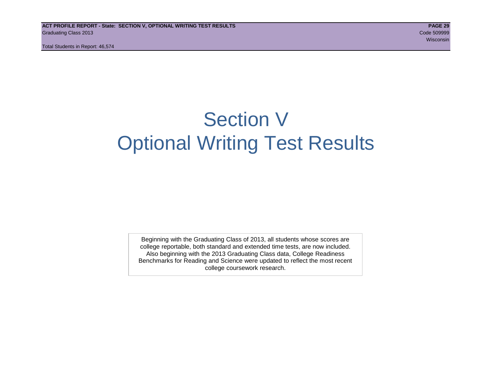Total Students in Report: 46,574

## Section V Optional Writing Test Results

Beginning with the Graduating Class of 2013, all students whose scores are college reportable, both standard and extended time tests, are now included. Also beginning with the 2013 Graduating Class data, College Readiness Benchmarks for Reading and Science were updated to reflect the most recent college coursework research.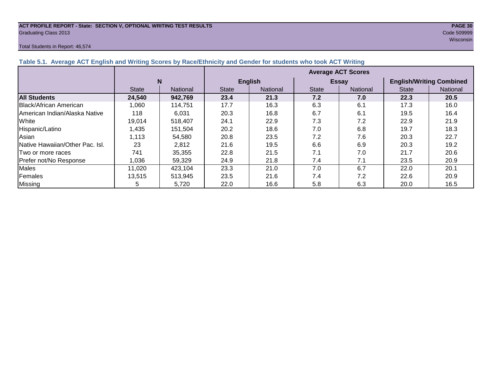#### **ACT PROFILE REPORT - State: SECTION V, OPTIONAL WRITING TEST RESULTS PAGE 30** Graduating Class 2013 Code 509999

#### Total Students in Report: 46,574

wisconsin and the contract of the contract of the contract of the contract of the contract of the consintent of the

|                                 |              |                 | <b>Average ACT Scores</b>       |                |              |              |                                 |          |  |  |  |  |
|---------------------------------|--------------|-----------------|---------------------------------|----------------|--------------|--------------|---------------------------------|----------|--|--|--|--|
|                                 | N            |                 |                                 | <b>English</b> |              | <b>Essay</b> | <b>English/Writing Combined</b> |          |  |  |  |  |
|                                 | <b>State</b> | <b>National</b> | <b>State</b><br><b>National</b> |                | <b>State</b> | National     | <b>State</b>                    | National |  |  |  |  |
| <b>All Students</b>             | 24,540       | 942,769         | 23.4                            | 21.3           | 7.2          | 7.0          | 22.3                            | 20.5     |  |  |  |  |
| Black/African American          | 1,060        | 114,751         | 17.7                            | 16.3           | 6.3          | 6.1          | 17.3                            | 16.0     |  |  |  |  |
| American Indian/Alaska Native   | 118          | 6,031           | 20.3                            | 16.8           | 6.7          | 6.1          | 19.5                            | 16.4     |  |  |  |  |
| White                           | 19,014       | 518,407         | 24.1                            | 22.9           | 7.3          | 7.2          | 22.9                            | 21.9     |  |  |  |  |
| Hispanic/Latino                 | 1,435        | 151,504         | 20.2                            | 18.6           | 7.0          | 6.8          | 19.7                            | 18.3     |  |  |  |  |
| Asian                           | 1,113        | 54,580          | 20.8                            | 23.5           | 7.2          | 7.6          | 20.3                            | 22.7     |  |  |  |  |
| Native Hawaiian/Other Pac. Isl. | 23           | 2,812           | 21.6                            | 19.5           | 6.6          | 6.9          | 20.3                            | 19.2     |  |  |  |  |
| Two or more races               | 741          | 35,355          | 22.8                            | 21.5           | 7.1          | 7.0          | 21.7                            | 20.6     |  |  |  |  |
| Prefer not/No Response          | 1,036        | 59.329          | 24.9                            | 21.8           | 7.4          | 7.1          | 23.5                            | 20.9     |  |  |  |  |
| Males                           | 11,020       | 423,104         | 23.3                            | 21.0           | 7.0          | 6.7          | 22.0                            | 20.1     |  |  |  |  |
| Females                         | 13,515       | 513,945         | 23.5                            | 21.6           | 7.4          | 7.2          | 22.6                            | 20.9     |  |  |  |  |
| Missing                         | 5            | 5,720           | 22.0                            | 16.6           | 5.8          | 6.3          | 20.0                            | 16.5     |  |  |  |  |

#### **Table 5.1. Average ACT English and Writing Scores by Race/Ethnicity and Gender for students who took ACT Writing**